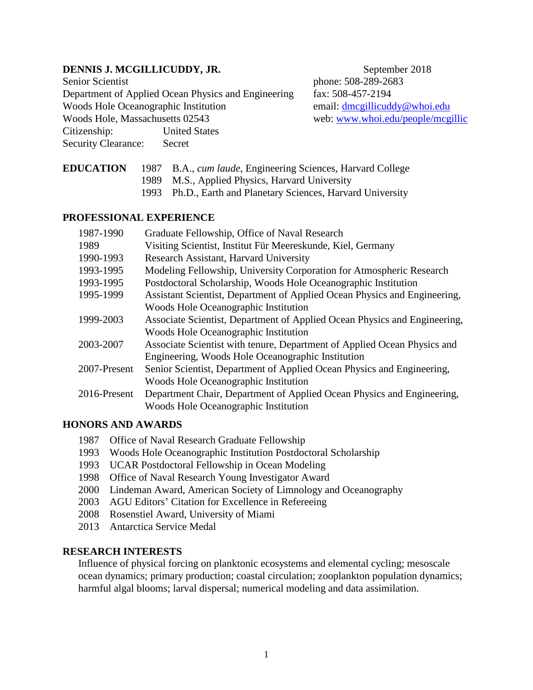## **DENNIS J. MCGILLICUDDY, JR.** September 2018

Senior Scientist phone: 508-289-2683 Department of Applied Ocean Physics and Engineering fax: 508-457-2194 Woods Hole Oceanographic Institution email: [dmcgillicuddy@whoi.edu](mailto:dmcgillicuddy@whoi.edu) Woods Hole, Massachusetts 02543 web: [www.whoi.edu/people/mcgillic](http://www.whoi.edu/people/mcgillic) Citizenship: United States Security Clearance: Secret

- **EDUCATION** 1987 B.A., *cum laude*, Engineering Sciences, Harvard College 1989 M.S., Applied Physics, Harvard University
	- 1993 Ph.D., Earth and Planetary Sciences, Harvard University

## **PROFESSIONAL EXPERIENCE**

| 1987-1990    | Graduate Fellowship, Office of Naval Research                             |
|--------------|---------------------------------------------------------------------------|
| 1989         | Visiting Scientist, Institut Für Meereskunde, Kiel, Germany               |
| 1990-1993    | Research Assistant, Harvard University                                    |
| 1993-1995    | Modeling Fellowship, University Corporation for Atmospheric Research      |
| 1993-1995    | Postdoctoral Scholarship, Woods Hole Oceanographic Institution            |
| 1995-1999    | Assistant Scientist, Department of Applied Ocean Physics and Engineering, |
|              | Woods Hole Oceanographic Institution                                      |
| 1999-2003    | Associate Scientist, Department of Applied Ocean Physics and Engineering, |
|              | Woods Hole Oceanographic Institution                                      |
| 2003-2007    | Associate Scientist with tenure, Department of Applied Ocean Physics and  |
|              | Engineering, Woods Hole Oceanographic Institution                         |
| 2007-Present | Senior Scientist, Department of Applied Ocean Physics and Engineering,    |
|              | Woods Hole Oceanographic Institution                                      |
| 2016-Present | Department Chair, Department of Applied Ocean Physics and Engineering,    |
|              | Woods Hole Oceanographic Institution                                      |

### **HONORS AND AWARDS**

- 1987 Office of Naval Research Graduate Fellowship
- 1993 Woods Hole Oceanographic Institution Postdoctoral Scholarship
- 1993 UCAR Postdoctoral Fellowship in Ocean Modeling
- 1998 Office of Naval Research Young Investigator Award
- 2000 Lindeman Award, American Society of Limnology and Oceanography
- 2003 AGU Editors' Citation for Excellence in Refereeing
- 2008 Rosenstiel Award, University of Miami
- 2013 Antarctica Service Medal

## **RESEARCH INTERESTS**

Influence of physical forcing on planktonic ecosystems and elemental cycling; mesoscale ocean dynamics; primary production; coastal circulation; zooplankton population dynamics; harmful algal blooms; larval dispersal; numerical modeling and data assimilation.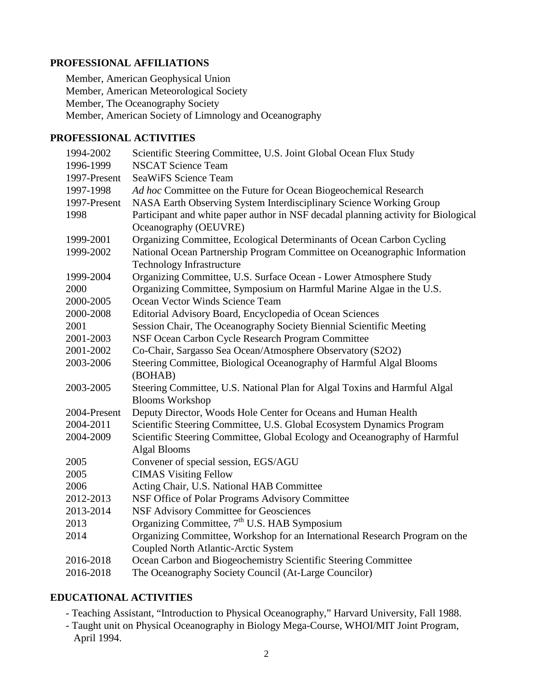# **PROFESSIONAL AFFILIATIONS**

Member, American Geophysical Union Member, American Meteorological Society Member, The Oceanography Society Member, American Society of Limnology and Oceanography

# **PROFESSIONAL ACTIVITIES**

| 1994-2002    | Scientific Steering Committee, U.S. Joint Global Ocean Flux Study                                                   |
|--------------|---------------------------------------------------------------------------------------------------------------------|
| 1996-1999    | <b>NSCAT Science Team</b>                                                                                           |
| 1997-Present | <b>SeaWiFS Science Team</b>                                                                                         |
| 1997-1998    | Ad hoc Committee on the Future for Ocean Biogeochemical Research                                                    |
| 1997-Present | NASA Earth Observing System Interdisciplinary Science Working Group                                                 |
| 1998         | Participant and white paper author in NSF decadal planning activity for Biological<br>Oceanography (OEUVRE)         |
| 1999-2001    | Organizing Committee, Ecological Determinants of Ocean Carbon Cycling                                               |
| 1999-2002    | National Ocean Partnership Program Committee on Oceanographic Information                                           |
|              | <b>Technology Infrastructure</b>                                                                                    |
| 1999-2004    | Organizing Committee, U.S. Surface Ocean - Lower Atmosphere Study                                                   |
| 2000         | Organizing Committee, Symposium on Harmful Marine Algae in the U.S.                                                 |
| 2000-2005    | Ocean Vector Winds Science Team                                                                                     |
| 2000-2008    | Editorial Advisory Board, Encyclopedia of Ocean Sciences                                                            |
| 2001         | Session Chair, The Oceanography Society Biennial Scientific Meeting                                                 |
| 2001-2003    | NSF Ocean Carbon Cycle Research Program Committee                                                                   |
| 2001-2002    | Co-Chair, Sargasso Sea Ocean/Atmosphere Observatory (S2O2)                                                          |
| 2003-2006    | Steering Committee, Biological Oceanography of Harmful Algal Blooms<br>(BOHAB)                                      |
| 2003-2005    | Steering Committee, U.S. National Plan for Algal Toxins and Harmful Algal<br><b>Blooms Workshop</b>                 |
| 2004-Present | Deputy Director, Woods Hole Center for Oceans and Human Health                                                      |
| 2004-2011    | Scientific Steering Committee, U.S. Global Ecosystem Dynamics Program                                               |
| 2004-2009    | Scientific Steering Committee, Global Ecology and Oceanography of Harmful<br><b>Algal Blooms</b>                    |
| 2005         | Convener of special session, EGS/AGU                                                                                |
| 2005         | <b>CIMAS Visiting Fellow</b>                                                                                        |
| 2006         | Acting Chair, U.S. National HAB Committee                                                                           |
| 2012-2013    | NSF Office of Polar Programs Advisory Committee                                                                     |
| 2013-2014    | <b>NSF Advisory Committee for Geosciences</b>                                                                       |
| 2013         | Organizing Committee, $7th$ U.S. HAB Symposium                                                                      |
| 2014         | Organizing Committee, Workshop for an International Research Program on the<br>Coupled North Atlantic-Arctic System |
| 2016-2018    | Ocean Carbon and Biogeochemistry Scientific Steering Committee                                                      |
| 2016-2018    | The Oceanography Society Council (At-Large Councilor)                                                               |

# **EDUCATIONAL ACTIVITIES**

- Teaching Assistant, "Introduction to Physical Oceanography," Harvard University, Fall 1988.
- Taught unit on Physical Oceanography in Biology Mega-Course, WHOI/MIT Joint Program, April 1994.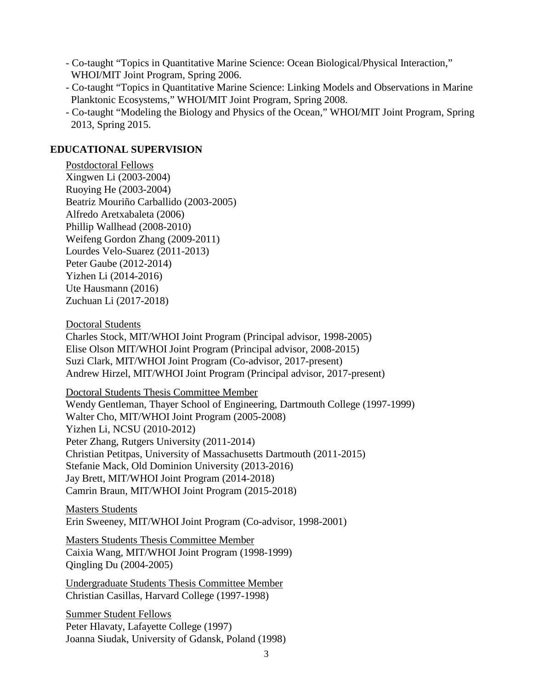- Co-taught "Topics in Quantitative Marine Science: Ocean Biological/Physical Interaction," WHOI/MIT Joint Program, Spring 2006.
- Co-taught "Topics in Quantitative Marine Science: Linking Models and Observations in Marine Planktonic Ecosystems," WHOI/MIT Joint Program, Spring 2008.
- Co-taught "Modeling the Biology and Physics of the Ocean," WHOI/MIT Joint Program, Spring 2013, Spring 2015.

## **EDUCATIONAL SUPERVISION**

Postdoctoral Fellows Xingwen Li (2003-2004) Ruoying He (2003-2004) Beatriz Mouriño Carballido (2003-2005) Alfredo Aretxabaleta (2006) Phillip Wallhead (2008-2010) Weifeng Gordon Zhang (2009-2011) Lourdes Velo-Suarez (2011-2013) Peter Gaube (2012-2014) Yizhen Li (2014-2016) Ute Hausmann (2016) Zuchuan Li (2017-2018)

Doctoral Students

Charles Stock, MIT/WHOI Joint Program (Principal advisor, 1998-2005) Elise Olson MIT/WHOI Joint Program (Principal advisor, 2008-2015) Suzi Clark, MIT/WHOI Joint Program (Co-advisor, 2017-present) Andrew Hirzel, MIT/WHOI Joint Program (Principal advisor, 2017-present)

Doctoral Students Thesis Committee Member Wendy Gentleman, Thayer School of Engineering, Dartmouth College (1997-1999) Walter Cho, MIT/WHOI Joint Program (2005-2008) Yizhen Li, NCSU (2010-2012) Peter Zhang, Rutgers University (2011-2014) Christian Petitpas, University of Massachusetts Dartmouth (2011-2015) Stefanie Mack, Old Dominion University (2013-2016) Jay Brett, MIT/WHOI Joint Program (2014-2018) Camrin Braun, MIT/WHOI Joint Program (2015-2018)

Masters Students Erin Sweeney, MIT/WHOI Joint Program (Co-advisor, 1998-2001)

Masters Students Thesis Committee Member Caixia Wang, MIT/WHOI Joint Program (1998-1999) Qingling Du (2004-2005)

Undergraduate Students Thesis Committee Member Christian Casillas, Harvard College (1997-1998)

Summer Student Fellows Peter Hlavaty, Lafayette College (1997) Joanna Siudak, University of Gdansk, Poland (1998)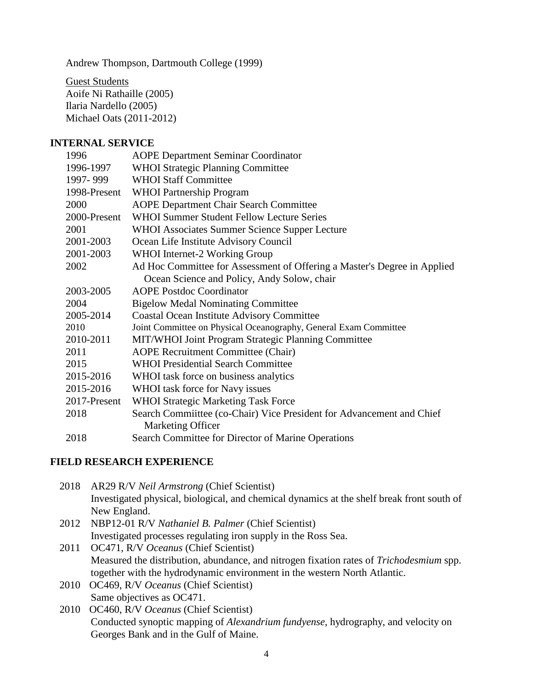Andrew Thompson, Dartmouth College (1999)

Guest Students Aoife Ni Rathaille (2005) Ilaria Nardello (2005) Michael Oats (2011-2012)

### **INTERNAL SERVICE**

| 1996         | <b>AOPE Department Seminar Coordinator</b>                               |
|--------------|--------------------------------------------------------------------------|
| 1996-1997    | <b>WHOI Strategic Planning Committee</b>                                 |
| 1997-999     | <b>WHOI Staff Committee</b>                                              |
| 1998-Present | <b>WHOI</b> Partnership Program                                          |
| 2000         | <b>AOPE Department Chair Search Committee</b>                            |
| 2000-Present | <b>WHOI Summer Student Fellow Lecture Series</b>                         |
| 2001         | <b>WHOI Associates Summer Science Supper Lecture</b>                     |
| 2001-2003    | Ocean Life Institute Advisory Council                                    |
| 2001-2003    | <b>WHOI</b> Internet-2 Working Group                                     |
| 2002         | Ad Hoc Committee for Assessment of Offering a Master's Degree in Applied |
|              | Ocean Science and Policy, Andy Solow, chair                              |
| 2003-2005    | <b>AOPE Postdoc Coordinator</b>                                          |
| 2004         | <b>Bigelow Medal Nominating Committee</b>                                |
| 2005-2014    | <b>Coastal Ocean Institute Advisory Committee</b>                        |
| 2010         | Joint Committee on Physical Oceanography, General Exam Committee         |
| 2010-2011    | MIT/WHOI Joint Program Strategic Planning Committee                      |
| 2011         | <b>AOPE Recruitment Committee (Chair)</b>                                |
| 2015         | <b>WHOI Presidential Search Committee</b>                                |
| 2015-2016    | WHOI task force on business analytics                                    |
| 2015-2016    | WHOI task force for Navy issues                                          |
| 2017-Present | <b>WHOI Strategic Marketing Task Force</b>                               |
| 2018         | Search Committee (co-Chair) Vice President for Advancement and Chief     |
|              | Marketing Officer                                                        |
| 2018         | Search Committee for Director of Marine Operations                       |

### **FIELD RESEARCH EXPERIENCE**

| 2018 | AR29 R/V <i>Neil Armstrong</i> (Chief Scientist)                                           |
|------|--------------------------------------------------------------------------------------------|
|      | Investigated physical, biological, and chemical dynamics at the shelf break front south of |
|      | New England.                                                                               |
| 0.12 | MDD42.04. D37.11.1.1.1.0.1.1<br>$\sqrt{21}$ . $\sqrt{21}$ . $\sqrt{21}$                    |

- 2012 NBP12-01 R/V *Nathaniel B. Palmer* (Chief Scientist) Investigated processes regulating iron supply in the Ross Sea.
- 2011 OC471, R/V *Oceanus* (Chief Scientist) Measured the distribution, abundance, and nitrogen fixation rates of *Trichodesmium* spp. together with the hydrodynamic environment in the western North Atlantic.
- 2010 OC469, R/V *Oceanus* (Chief Scientist) Same objectives as OC471.
- 2010 OC460, R/V *Oceanus* (Chief Scientist) Conducted synoptic mapping of *Alexandrium fundyense*, hydrography, and velocity on Georges Bank and in the Gulf of Maine.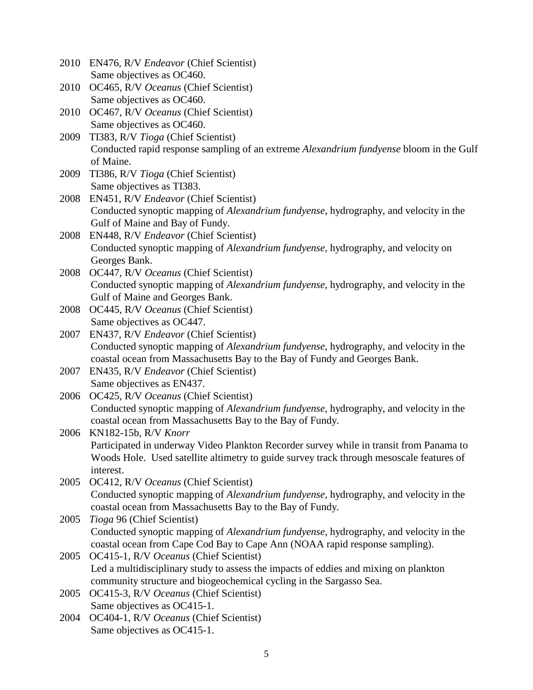|      | 2010 EN476, R/V Endeavor (Chief Scientist)                                                    |
|------|-----------------------------------------------------------------------------------------------|
|      | Same objectives as OC460.                                                                     |
| 2010 | OC465, R/V Oceanus (Chief Scientist)                                                          |
|      | Same objectives as OC460.                                                                     |
| 2010 | OC467, R/V Oceanus (Chief Scientist)                                                          |
|      | Same objectives as OC460.                                                                     |
| 2009 | TI383, R/V Tioga (Chief Scientist)                                                            |
|      | Conducted rapid response sampling of an extreme Alexandrium fundyense bloom in the Gulf       |
|      | of Maine.                                                                                     |
| 2009 | TI386, R/V Tioga (Chief Scientist)                                                            |
|      | Same objectives as TI383.                                                                     |
|      | 2008 EN451, R/V Endeavor (Chief Scientist)                                                    |
|      | Conducted synoptic mapping of <i>Alexandrium fundyense</i> , hydrography, and velocity in the |
|      | Gulf of Maine and Bay of Fundy.                                                               |
| 2008 | EN448, R/V Endeavor (Chief Scientist)                                                         |
|      | Conducted synoptic mapping of Alexandrium fundyense, hydrography, and velocity on             |
|      | Georges Bank.                                                                                 |
| 2008 | OC447, R/V Oceanus (Chief Scientist)                                                          |
|      | Conducted synoptic mapping of Alexandrium fundyense, hydrography, and velocity in the         |
|      | Gulf of Maine and Georges Bank.                                                               |
| 2008 | OC445, R/V Oceanus (Chief Scientist)                                                          |
|      | Same objectives as OC447.                                                                     |
| 2007 | EN437, R/V Endeavor (Chief Scientist)                                                         |
|      | Conducted synoptic mapping of Alexandrium fundyense, hydrography, and velocity in the         |
|      | coastal ocean from Massachusetts Bay to the Bay of Fundy and Georges Bank.                    |
|      | 2007 EN435, R/V Endeavor (Chief Scientist)                                                    |
|      | Same objectives as EN437.                                                                     |
| 2006 | OC425, R/V Oceanus (Chief Scientist)                                                          |
|      | Conducted synoptic mapping of Alexandrium fundyense, hydrography, and velocity in the         |
|      | coastal ocean from Massachusetts Bay to the Bay of Fundy.                                     |
| 2006 | KN182-15b, R/V Knorr                                                                          |
|      | Participated in underway Video Plankton Recorder survey while in transit from Panama to       |
|      | Woods Hole. Used satellite altimetry to guide survey track through mesoscale features of      |
|      | interest.                                                                                     |
| 2005 | OC412, R/V Oceanus (Chief Scientist)                                                          |
|      | Conducted synoptic mapping of <i>Alexandrium fundyense</i> , hydrography, and velocity in the |
|      | coastal ocean from Massachusetts Bay to the Bay of Fundy.                                     |
| 2005 | Tioga 96 (Chief Scientist)                                                                    |
|      | Conducted synoptic mapping of Alexandrium fundyense, hydrography, and velocity in the         |
|      | coastal ocean from Cape Cod Bay to Cape Ann (NOAA rapid response sampling).                   |
| 2005 | OC415-1, R/V Oceanus (Chief Scientist)                                                        |
|      | Led a multidisciplinary study to assess the impacts of eddies and mixing on plankton          |
|      | community structure and biogeochemical cycling in the Sargasso Sea.                           |
| 2005 | OC415-3, R/V Oceanus (Chief Scientist)                                                        |
|      | Same objectives as OC415-1.                                                                   |
| 2004 | OC404-1, R/V Oceanus (Chief Scientist)                                                        |
|      | Same objectives as OC415-1.                                                                   |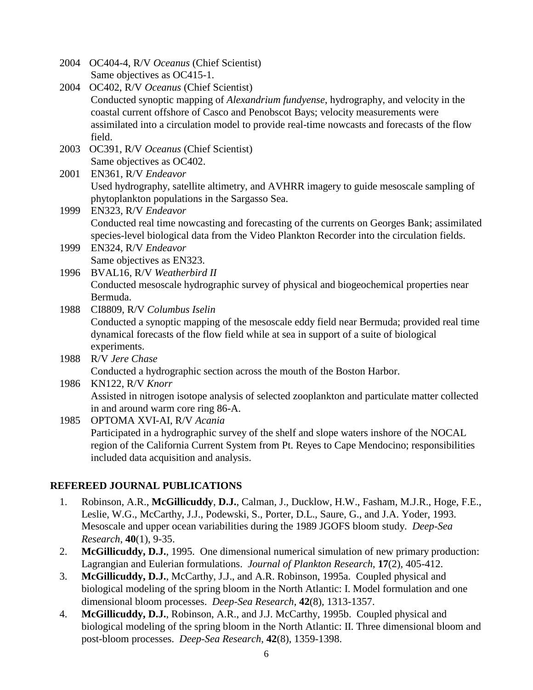2004 OC404-4, R/V *Oceanus* (Chief Scientist) Same objectives as OC415-1.

- 2004 OC402, R/V *Oceanus* (Chief Scientist) Conducted synoptic mapping of *Alexandrium fundyense*, hydrography, and velocity in the coastal current offshore of Casco and Penobscot Bays; velocity measurements were assimilated into a circulation model to provide real-time nowcasts and forecasts of the flow field.
- 2003 OC391, R/V *Oceanus* (Chief Scientist) Same objectives as OC402.

2001 EN361, R/V *Endeavor* Used hydrography, satellite altimetry, and AVHRR imagery to guide mesoscale sampling of phytoplankton populations in the Sargasso Sea.

1999 EN323, R/V *Endeavor* Conducted real time nowcasting and forecasting of the currents on Georges Bank; assimilated species-level biological data from the Video Plankton Recorder into the circulation fields.

- 1999 EN324, R/V *Endeavor* Same objectives as EN323.
- 1996 BVAL16, R/V *Weatherbird II* Conducted mesoscale hydrographic survey of physical and biogeochemical properties near Bermuda.

1988 CI8809, R/V *Columbus Iselin* Conducted a synoptic mapping of the mesoscale eddy field near Bermuda; provided real time dynamical forecasts of the flow field while at sea in support of a suite of biological experiments.

- 1988 R/V *Jere Chase* Conducted a hydrographic section across the mouth of the Boston Harbor.
- 1986 KN122, R/V *Knorr* Assisted in nitrogen isotope analysis of selected zooplankton and particulate matter collected in and around warm core ring 86-A.

1985 OPTOMA XVI-AI, R/V *Acania* Participated in a hydrographic survey of the shelf and slope waters inshore of the NOCAL region of the California Current System from Pt. Reyes to Cape Mendocino; responsibilities included data acquisition and analysis.

# **REFEREED JOURNAL PUBLICATIONS**

- 1. Robinson, A.R., **McGillicuddy**, **D.J.**, Calman, J., Ducklow, H.W., Fasham, M.J.R., Hoge, F.E., Leslie, W.G., McCarthy, J.J., Podewski, S., Porter, D.L., Saure, G., and J.A. Yoder, 1993. Mesoscale and upper ocean variabilities during the 1989 JGOFS bloom study. *Deep-Sea Research*, **40**(1), 9-35.
- 2. **McGillicuddy, D.J.**, 1995. One dimensional numerical simulation of new primary production: Lagrangian and Eulerian formulations. *Journal of Plankton Research*, **17**(2), 405-412.
- 3. **McGillicuddy, D.J.**, McCarthy, J.J., and A.R. Robinson, 1995a. Coupled physical and biological modeling of the spring bloom in the North Atlantic: I. Model formulation and one dimensional bloom processes. *Deep-Sea Research*, **42**(8), 1313-1357.
- 4. **McGillicuddy, D.J.**, Robinson, A.R., and J.J. McCarthy, 1995b. Coupled physical and biological modeling of the spring bloom in the North Atlantic: II. Three dimensional bloom and post-bloom processes. *Deep-Sea Research*, **42**(8), 1359-1398.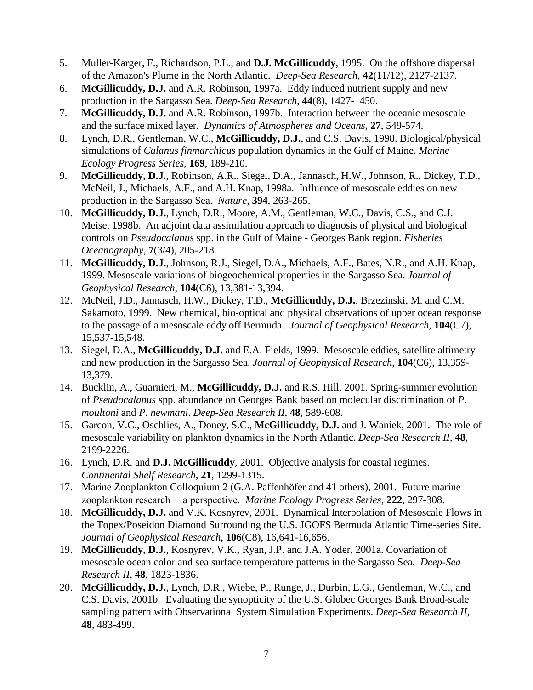- 5. Muller-Karger, F., Richardson, P.L., and **D.J. McGillicuddy**, 1995. On the offshore dispersal of the Amazon's Plume in the North Atlantic. *Deep-Sea Research*, **42**(11/12), 2127-2137.
- 6. **McGillicuddy, D.J.** and A.R. Robinson, 1997a. Eddy induced nutrient supply and new production in the Sargasso Sea. *Deep-Sea Research*, **44**(8), 1427-1450.
- 7. **McGillicuddy, D.J.** and A.R. Robinson, 1997b. Interaction between the oceanic mesoscale and the surface mixed layer. *Dynamics of Atmospheres and Oceans,* **27**, 549-574.
- 8. Lynch, D.R., Gentleman, W.C., **McGillicuddy, D.J.**, and C.S. Davis, 1998. Biological/physical simulations of *Calanus finmarchicus* population dynamics in the Gulf of Maine. *Marine Ecology Progress Series*, **169**, 189-210.
- 9. **McGillicuddy, D.J.**, Robinson, A.R., Siegel, D.A., Jannasch, H.W., Johnson, R., Dickey, T.D., McNeil, J., Michaels, A.F., and A.H. Knap, 1998a. Influence of mesoscale eddies on new production in the Sargasso Sea. *Nature*, **394**, 263-265.
- 10. **McGillicuddy, D.J.**, Lynch, D.R., Moore, A.M., Gentleman, W.C., Davis, C.S., and C.J. Meise, 1998b. An adjoint data assimilation approach to diagnosis of physical and biological controls on *Pseudocalanus* spp. in the Gulf of Maine - Georges Bank region. *Fisheries Oceanography*, **7**(3/4), 205-218.
- 11. **McGillicuddy, D.J.**, Johnson, R.J., Siegel, D.A., Michaels, A.F., Bates, N.R., and A.H. Knap, 1999. Mesoscale variations of biogeochemical properties in the Sargasso Sea. *Journal of Geophysical Research*, **104**(C6), 13,381-13,394.
- 12. McNeil, J.D., Jannasch, H.W., Dickey, T.D., **McGillicuddy, D.J.**, Brzezinski, M. and C.M. Sakamoto, 1999. New chemical, bio-optical and physical observations of upper ocean response to the passage of a mesoscale eddy off Bermuda. *Journal of Geophysical Research*, **104**(C7), 15,537-15,548.
- 13. Siegel, D.A., **McGillicuddy, D.J.** and E.A. Fields, 1999. Mesoscale eddies, satellite altimetry and new production in the Sargasso Sea. *Journal of Geophysical Research*, **104**(C6), 13,359- 13,379.
- 14. Bucklin, A., Guarnieri, M., **McGillicuddy, D.J.** and R.S. Hill, 2001. Spring-summer evolution of *Pseudocalanus* spp. abundance on Georges Bank based on molecular discrimination of *P. moultoni* and *P. newmani*. *Deep-Sea Research II*, **48**, 589-608.
- 15. Garcon, V.C., Oschlies, A., Doney, S.C., **McGillicuddy, D.J.** and J. Waniek, 2001. The role of mesoscale variability on plankton dynamics in the North Atlantic. *Deep-Sea Research II,* **48**, 2199-2226.
- 16. Lynch, D.R. and **D.J. McGillicuddy**, 2001. Objective analysis for coastal regimes. *Continental Shelf Research,* **21**, 1299-1315.
- 17. Marine Zooplankton Colloquium 2 (G.A. Paffenhöfer and 41 others), 2001. Future marine zooplankton research ─ a perspective. *Marine Ecology Progress Series,* **222**, 297-308.
- 18. **McGillicuddy, D.J.** and V.K. Kosnyrev, 2001. Dynamical Interpolation of Mesoscale Flows in the Topex/Poseidon Diamond Surrounding the U.S. JGOFS Bermuda Atlantic Time-series Site. *Journal of Geophysical Research*, **106**(C8), 16,641-16,656.
- 19. **McGillicuddy, D.J.**, Kosnyrev, V.K., Ryan, J.P. and J.A. Yoder, 2001a. Covariation of mesoscale ocean color and sea surface temperature patterns in the Sargasso Sea. *Deep-Sea Research II*, **48**, 1823-1836.
- 20. **McGillicuddy, D.J.**, Lynch, D.R., Wiebe, P., Runge, J., Durbin, E.G., Gentleman, W.C., and C.S. Davis, 2001b. Evaluating the synopticity of the U.S. Globec Georges Bank Broad-scale sampling pattern with Observational System Simulation Experiments. *Deep-Sea Research II,* **48**, 483-499.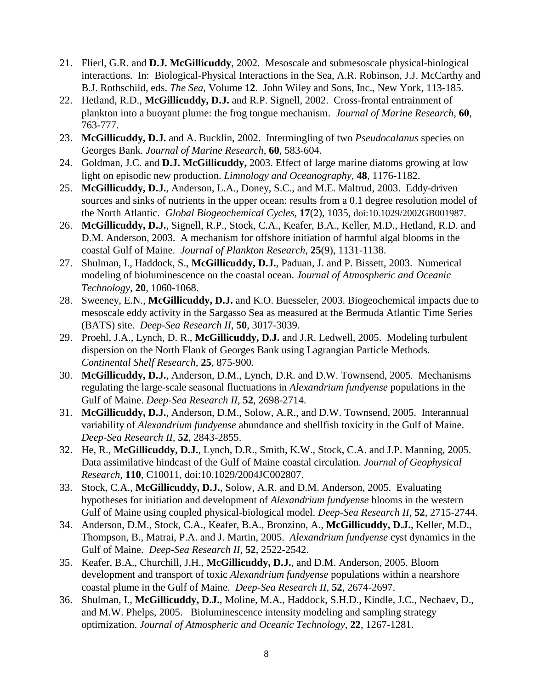- 21. Flierl, G.R. and **D.J. McGillicuddy**, 2002. Mesoscale and submesoscale physical-biological interactions. In: Biological-Physical Interactions in the Sea, A.R. Robinson, J.J. McCarthy and B.J. Rothschild, eds. *The Sea*, Volume **12**. John Wiley and Sons, Inc., New York, 113-185.
- 22. Hetland, R.D., **McGillicuddy, D.J.** and R.P. Signell, 2002. Cross-frontal entrainment of plankton into a buoyant plume: the frog tongue mechanism. *Journal of Marine Research*, **60**, 763-777.
- 23. **McGillicuddy, D.J.** and A. Bucklin, 2002. Intermingling of two *Pseudocalanus* species on Georges Bank. *Journal of Marine Research*, **60**, 583-604.
- 24. Goldman, J.C. and **D.J. McGillicuddy,** 2003. Effect of large marine diatoms growing at low light on episodic new production. *Limnology and Oceanography*, **48**, 1176-1182.
- 25. **McGillicuddy, D.J.**, Anderson, L.A., Doney, S.C., and M.E. Maltrud, 2003. Eddy-driven sources and sinks of nutrients in the upper ocean: results from a 0.1 degree resolution model of the North Atlantic. *Global Biogeochemical Cycles*, **17**(2), 1035, doi:10.1029/2002GB001987.
- 26. **McGillicuddy, D.J.**, Signell, R.P., Stock, C.A., Keafer, B.A., Keller, M.D., Hetland, R.D. and D.M. Anderson, 2003. A mechanism for offshore initiation of harmful algal blooms in the coastal Gulf of Maine. *Journal of Plankton Research*, **25**(9), 1131-1138.
- 27. Shulman, I., Haddock, S., **McGillicuddy, D.J.**, Paduan, J. and P. Bissett, 2003. Numerical modeling of bioluminescence on the coastal ocean. *Journal of Atmospheric and Oceanic Technology*, **20**, 1060-1068.
- 28. Sweeney, E.N., **McGillicuddy, D.J.** and K.O. Buesseler, 2003. Biogeochemical impacts due to mesoscale eddy activity in the Sargasso Sea as measured at the Bermuda Atlantic Time Series (BATS) site. *Deep-Sea Research II*, **50**, 3017-3039.
- 29. Proehl, J.A., Lynch, D. R., **McGillicuddy, D.J.** and J.R. Ledwell, 2005. Modeling turbulent dispersion on the North Flank of Georges Bank using Lagrangian Particle Methods. *Continental Shelf Research*, **25**, 875-900.
- 30. **McGillicuddy, D.J.**, Anderson, D.M., Lynch, D.R. and D.W. Townsend, 2005. Mechanisms regulating the large-scale seasonal fluctuations in *Alexandrium fundyense* populations in the Gulf of Maine. *Deep-Sea Research II*, **52**, 2698-2714.
- 31. **McGillicuddy, D.J.**, Anderson, D.M., Solow, A.R., and D.W. Townsend, 2005. Interannual variability of *Alexandrium fundyense* abundance and shellfish toxicity in the Gulf of Maine. *Deep-Sea Research II,* **52**, 2843-2855.
- 32. He, R., **McGillicuddy, D.J.**, Lynch, D.R., Smith, K.W., Stock, C.A. and J.P. Manning, 2005. Data assimilative hindcast of the Gulf of Maine coastal circulation. *Journal of Geophysical Research*, **110**, C10011, doi:10.1029/2004JC002807.
- 33. Stock, C.A., **McGillicuddy, D.J.**, Solow, A.R. and D.M. Anderson, 2005. Evaluating hypotheses for initiation and development of *Alexandrium fundyense* blooms in the western Gulf of Maine using coupled physical-biological model. *Deep-Sea Research II*, **52**, 2715-2744.
- 34. Anderson, D.M., Stock, C.A., Keafer, B.A., Bronzino, A., **McGillicuddy, D.J.**, Keller, M.D., Thompson, B., Matrai, P.A. and J. Martin, 2005. *Alexandrium fundyense* cyst dynamics in the Gulf of Maine. *Deep-Sea Research II*, **52**, 2522-2542.
- 35. Keafer, B.A., Churchill, J.H., **McGillicuddy, D.J.**, and D.M. Anderson, 2005. Bloom development and transport of toxic *Alexandrium fundyense* populations within a nearshore coastal plume in the Gulf of Maine. *Deep-Sea Research II,* **52**, 2674-2697.
- 36. Shulman, I., **McGillicuddy, D.J.**, Moline, M.A., Haddock, S.H.D., Kindle, J.C., Nechaev, D., and M.W. Phelps, 2005. Bioluminescence intensity modeling and sampling strategy optimization. *Journal of Atmospheric and Oceanic Technology*, **22**, 1267-1281.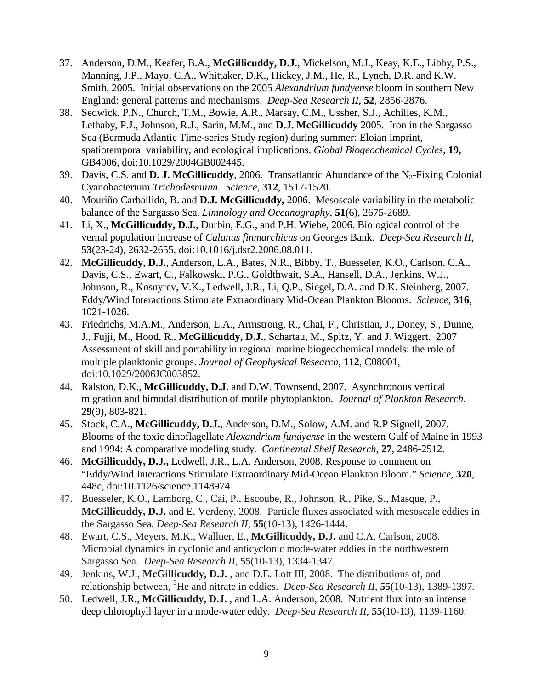- 37. Anderson, D.M., Keafer, B.A., **McGillicuddy, D.J**., Mickelson, M.J., Keay, K.E., Libby, P.S., Manning, J.P., Mayo, C.A., Whittaker, D.K., Hickey, J.M., He, R., Lynch, D.R. and K.W. Smith, 2005. Initial observations on the 2005 *Alexandrium fundyense* bloom in southern New England: general patterns and mechanisms. *Deep-Sea Research II*, **52**, 2856-2876.
- 38. Sedwick, P.N., Church, T.M., Bowie, A.R., Marsay, C.M., Ussher, S.J., Achilles, K.M., Lethaby, P.J., Johnson, R.J., Sarin, M.M., and **D.J. McGillicuddy** 2005. Iron in the Sargasso Sea (Bermuda Atlantic Time-series Study region) during summer: Eloian imprint, spatiotemporal variability, and ecological implications. *Global Biogeochemical Cycles,* **19,** GB4006, doi:10.1029/2004GB002445.
- 39. Davis, C.S. and **D. J. McGillicuddy**, 2006. Transatlantic Abundance of the N<sub>2</sub>-Fixing Colonial Cyanobacterium *Trichodesmium*. *Science*, **312**, 1517-1520.
- 40. Mouriño Carballido, B. and **D.J. McGillicuddy,** 2006. Mesoscale variability in the metabolic balance of the Sargasso Sea. *Limnology and Oceanography,* **51**(6), 2675-2689.
- 41. Li, X., **McGillicuddy, D.J.**, Durbin, E.G., and P.H. Wiebe, 2006. Biological control of the vernal population increase of *Calanus finmarchicus* on Georges Bank. *Deep-Sea Research II*, **53**(23-24), 2632-2655, doi:10.1016/j.dsr2.2006.08.011.
- 42. **McGillicuddy, D.J.**, Anderson, L.A., Bates, N.R., Bibby, T., Buesseler, K.O., Carlson, C.A., Davis, C.S., Ewart, C., Falkowski, P.G., Goldthwait, S.A., Hansell, D.A., Jenkins, W.J., Johnson, R., Kosnyrev, V.K., Ledwell, J.R., Li, Q.P., Siegel, D.A. and D.K. Steinberg, 2007. Eddy/Wind Interactions Stimulate Extraordinary Mid-Ocean Plankton Blooms. *Science*, **316**, 1021-1026.
- 43. Friedrichs, M.A.M., Anderson, L.A., Armstrong, R., Chai, F., Christian, J., Doney, S., Dunne, J., Fujji, M., Hood, R., **McGillicuddy, D.J.**, Schartau, M., Spitz, Y. and J. Wiggert. 2007 Assessment of skill and portability in regional marine biogeochemical models: the role of multiple planktonic groups. *Journal of Geophysical Research*, **112**, C08001, doi:10.1029/2006JC003852.
- 44. Ralston, D.K., **McGillicuddy, D.J.** and D.W. Townsend, 2007. Asynchronous vertical migration and bimodal distribution of motile phytoplankton. *Journal of Plankton Research*, **29**(9), 803-821.
- 45. Stock, C.A., **McGillicuddy, D.J.**, Anderson, D.M., Solow, A.M. and R.P Signell, 2007. Blooms of the toxic dinoflagellate *Alexandrium fundyense* in the western Gulf of Maine in 1993 and 1994: A comparative modeling study. *Continental Shelf Research*, **27**, 2486-2512.
- 46. **McGillicuddy, D.J.,** Ledwell, J.R., L.A. Anderson, 2008. Response to comment on "Eddy/Wind Interactions Stimulate Extraordinary Mid-Ocean Plankton Bloom." *Science*, **320**, 448c, doi:10.1126/science.1148974
- 47. Buesseler, K.O., Lamborg, C., Cai, P., Escoube, R., Johnson, R., Pike, S., Masque, P., **McGillicuddy, D.J.** and E. Verdeny, 2008. Particle fluxes associated with mesoscale eddies in the Sargasso Sea. *Deep-Sea Research II*, **55**(10-13), 1426-1444.
- 48. Ewart, C.S., Meyers, M.K., Wallner, E., **McGillicuddy, D.J.** and C.A. Carlson, 2008. Microbial dynamics in cyclonic and anticyclonic mode-water eddies in the northwestern Sargasso Sea. *Deep-Sea Research II,* **55**(10-13), 1334-1347.
- 49. Jenkins, W.J., **McGillicuddy, D.J.** , and D.E. Lott III, 2008. The distributions of, and relationship between, <sup>3</sup>He and nitrate in eddies. *Deep-Sea Research II*, **55**(10-13), 1389-1397.
- 50. Ledwell, J.R., **McGillicuddy, D.J.** , and L.A. Anderson, 2008. Nutrient flux into an intense deep chlorophyll layer in a mode-water eddy. *Deep-Sea Research II,* **55**(10-13), 1139-1160*.*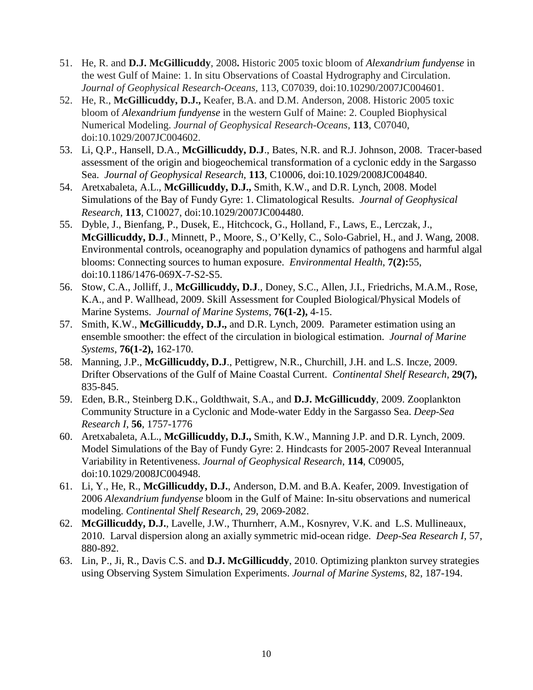- 51. He, R. and **D.J. McGillicuddy**, 2008**.** Historic 2005 toxic bloom of *Alexandrium fundyense* in the west Gulf of Maine: 1. In situ Observations of Coastal Hydrography and Circulation. *Journal of Geophysical Research-Oceans,* 113, C07039, doi:10.10290/2007JC004601.
- 52. He, R., **McGillicuddy, D.J.,** Keafer, B.A. and D.M. Anderson, 2008. Historic 2005 toxic bloom of *Alexandrium fundyense* in the western Gulf of Maine: 2. Coupled Biophysical Numerical Modeling. *Journal of Geophysical Research-Oceans,* **113**, C07040, doi:10.1029/2007JC004602.
- 53. Li, Q.P., Hansell, D.A., **McGillicuddy, D.J**., Bates, N.R. and R.J. Johnson, 2008. Tracer-based assessment of the origin and biogeochemical transformation of a cyclonic eddy in the Sargasso Sea. *Journal of Geophysical Research*, **113**, C10006, doi:10.1029/2008JC004840.
- 54. Aretxabaleta, A.L., **McGillicuddy, D.J.,** Smith, K.W., and D.R. Lynch, 2008. Model Simulations of the Bay of Fundy Gyre: 1. Climatological Results. *Journal of Geophysical Research*, **113**, C10027, doi:10.1029/2007JC004480.
- 55. Dyble, J., Bienfang, P., Dusek, E., Hitchcock, G., Holland, F., Laws, E., Lerczak, J., **McGillicuddy, D.J**., Minnett, P., Moore, S., O'Kelly, C., Solo-Gabriel, H., and J. Wang, 2008. Environmental controls, oceanography and population dynamics of pathogens and harmful algal blooms: Connecting sources to human exposure. *Environmental Health*, **7(2):**55, doi:10.1186/1476-069X-7-S2-S5.
- 56. Stow, C.A., Jolliff, J., **McGillicuddy, D.J**., Doney, S.C., Allen, J.I., Friedrichs, M.A.M., Rose, K.A., and P. Wallhead, 2009. Skill Assessment for Coupled Biological/Physical Models of Marine Systems. *Journal of Marine Systems*, **76(1-2),** 4-15.
- 57. Smith, K.W., **McGillicuddy, D.J.,** and D.R. Lynch, 2009. Parameter estimation using an ensemble smoother: the effect of the circulation in biological estimation. *Journal of Marine Systems*, **76(1-2),** 162-170.
- 58. Manning, J.P., **McGillicuddy, D.J**., Pettigrew, N.R., Churchill, J.H. and L.S. Incze, 2009. Drifter Observations of the Gulf of Maine Coastal Current. *Continental Shelf Research*, **29(7),** 835-845.
- 59. Eden, B.R., Steinberg D.K., Goldthwait, S.A., and **D.J. McGillicuddy**, 2009. Zooplankton Community Structure in a Cyclonic and Mode-water Eddy in the Sargasso Sea. *Deep-Sea Research I*, **56**, 1757-1776
- 60. Aretxabaleta, A.L., **McGillicuddy, D.J.,** Smith, K.W., Manning J.P. and D.R. Lynch, 2009. Model Simulations of the Bay of Fundy Gyre: 2. Hindcasts for 2005-2007 Reveal Interannual Variability in Retentiveness. *Journal of Geophysical Research*, **114**, C09005, doi:10.1029/2008JC004948.
- 61. Li, Y., He, R., **McGillicuddy, D.J.**, Anderson, D.M. and B.A. Keafer, 2009. Investigation of 2006 *Alexandrium fundyense* bloom in the Gulf of Maine: In-situ observations and numerical modeling. *Continental Shelf Research*, 29, 2069-2082.
- 62. **McGillicuddy, D.J.**, Lavelle, J.W., Thurnherr, A.M., Kosnyrev, V.K. and L.S. Mullineaux, 2010. Larval dispersion along an axially symmetric mid-ocean ridge. *Deep-Sea Research I,* 57, 880-892.
- 63. Lin, P., Ji, R., Davis C.S. and **D.J. McGillicuddy**, 2010. Optimizing plankton survey strategies using Observing System Simulation Experiments. *Journal of Marine Systems*, 82, 187-194.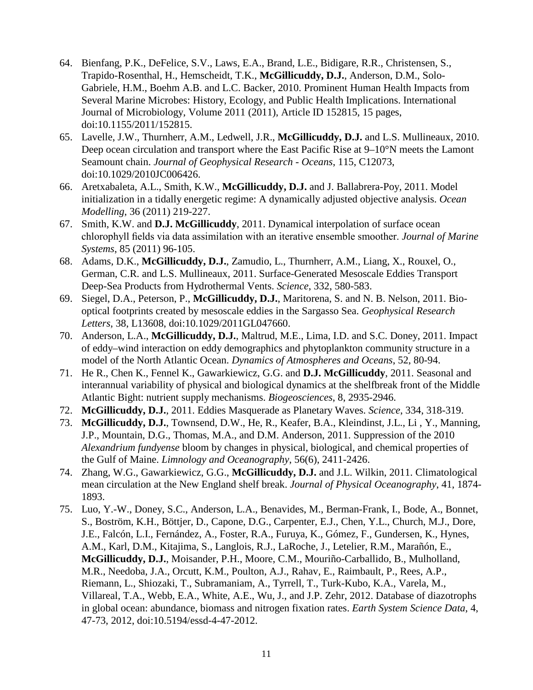- 64. Bienfang, P.K., DeFelice, S.V., Laws, E.A., Brand, L.E., Bidigare, R.R., Christensen, S., Trapido-Rosenthal, H., Hemscheidt, T.K., **McGillicuddy, D.J.**, Anderson, D.M., Solo-Gabriele, H.M., Boehm A.B. and L.C. Backer, 2010. Prominent Human Health Impacts from Several Marine Microbes: History, Ecology, and Public Health Implications. International Journal of Microbiology, Volume 2011 (2011), Article ID 152815, 15 pages, doi:10.1155/2011/152815.
- 65. Lavelle, J.W., Thurnherr, A.M., Ledwell, J.R., **McGillicuddy, D.J.** and L.S. Mullineaux, 2010. Deep ocean circulation and transport where the East Pacific Rise at 9–10°N meets the Lamont Seamount chain. *Journal of Geophysical Research - Oceans*, 115, C12073, doi:10.1029/2010JC006426.
- 66. Aretxabaleta, A.L., Smith, K.W., **McGillicuddy, D.J.** and J. Ballabrera-Poy, 2011. Model initialization in a tidally energetic regime: A dynamically adjusted objective analysis. *Ocean Modelling*, 36 (2011) 219-227.
- 67. Smith, K.W. and **D.J. McGillicuddy**, 2011. Dynamical interpolation of surface ocean chlorophyll fields via data assimilation with an iterative ensemble smoother. *Journal of Marine Systems*, 85 (2011) 96-105.
- 68. Adams, D.K., **McGillicuddy, D.J.**, Zamudio, L., Thurnherr, A.M., Liang, X., Rouxel, O., German, C.R. and L.S. Mullineaux, 2011. Surface-Generated Mesoscale Eddies Transport Deep-Sea Products from Hydrothermal Vents. *Science*, 332, 580-583.
- 69. Siegel, D.A., Peterson, P., **McGillicuddy, D.J.**, Maritorena, S. and N. B. Nelson, 2011. Biooptical footprints created by mesoscale eddies in the Sargasso Sea. *Geophysical Research Letters*, 38, L13608, doi:10.1029/2011GL047660.
- 70. Anderson, L.A., **McGillicuddy, D.J.**, Maltrud, M.E., Lima, I.D. and S.C. Doney, 2011. Impact of eddy–wind interaction on eddy demographics and phytoplankton community structure in a model of the North Atlantic Ocean. *Dynamics of Atmospheres and Oceans*, 52, 80-94.
- 71. He R., Chen K., Fennel K., Gawarkiewicz, G.G. and **D.J. McGillicuddy**, 2011. Seasonal and interannual variability of physical and biological dynamics at the shelfbreak front of the Middle Atlantic Bight: nutrient supply mechanisms. *Biogeosciences*, 8, 2935-2946.
- 72. **McGillicuddy, D.J.**, 2011. Eddies Masquerade as Planetary Waves. *Science*, 334, 318-319.
- 73. **McGillicuddy, D.J.**, Townsend, D.W., He, R., Keafer, B.A., Kleindinst, J.L., Li , Y., Manning, J.P., Mountain, D.G., Thomas, M.A., and D.M. Anderson, 2011. Suppression of the 2010 *Alexandrium fundyense* bloom by changes in physical, biological, and chemical properties of the Gulf of Maine. *Limnology and Oceanography*, 56(6), 2411-2426.
- 74. Zhang, W.G., Gawarkiewicz, G.G., **McGillicuddy, D.J.** and J.L. Wilkin, 2011. Climatological mean circulation at the New England shelf break. *Journal of Physical Oceanography*, 41, 1874- 1893.
- 75. Luo, Y.-W., Doney, S.C., Anderson, L.A., Benavides, M., Berman-Frank, I., Bode, A., Bonnet, S., Boström, K.H., Böttjer, D., Capone, D.G., Carpenter, E.J., Chen, Y.L., Church, M.J., Dore, J.E., Falcón, L.I., Fernández, A., Foster, R.A., Furuya, K., Gómez, F., Gundersen, K., Hynes, A.M., Karl, D.M., Kitajima, S., Langlois, R.J., LaRoche, J., Letelier, R.M., Marañón, E., **McGillicuddy, D.J.**, Moisander, P.H., Moore, C.M., Mouriño-Carballido, B., Mulholland, M.R., Needoba, J.A., Orcutt, K.M., Poulton, A.J., Rahav, E., Raimbault, P., Rees, A.P., Riemann, L., Shiozaki, T., Subramaniam, A., Tyrrell, T., Turk-Kubo, K.A., Varela, M., Villareal, T.A., Webb, E.A., White, A.E., Wu, J., and J.P. Zehr, 2012. Database of diazotrophs in global ocean: abundance, biomass and nitrogen fixation rates. *Earth System Science Data*, 4, 47-73, 2012, doi:10.5194/essd-4-47-2012.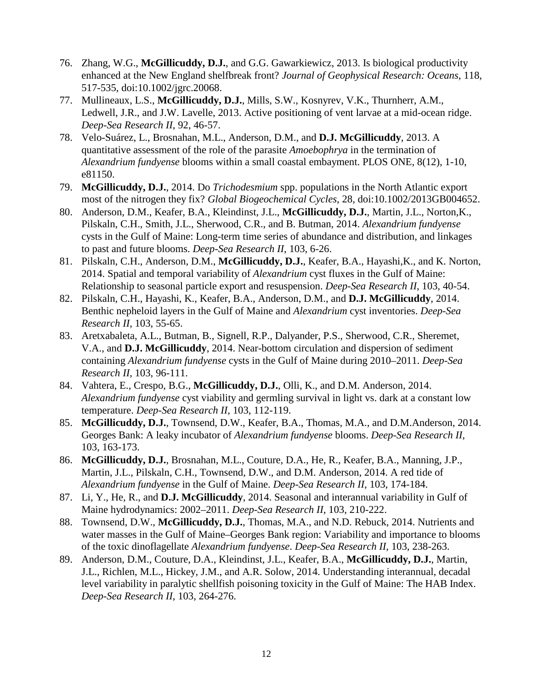- 76. Zhang, W.G., **McGillicuddy, D.J.**, and G.G. Gawarkiewicz, 2013. Is biological productivity enhanced at the New England shelfbreak front? *Journal of Geophysical Research: Oceans*, 118, 517-535, doi:10.1002/jgrc.20068.
- 77. Mullineaux, L.S., **McGillicuddy, D.J.**, Mills, S.W., Kosnyrev, V.K., Thurnherr, A.M., Ledwell, J.R., and J.W. Lavelle, 2013. Active positioning of vent larvae at a mid-ocean ridge. *Deep-Sea Research II*, 92, 46-57.
- 78. Velo-Suárez, L., Brosnahan, M.L., Anderson, D.M., and **D.J. McGillicuddy**, 2013. A quantitative assessment of the role of the parasite *Amoebophrya* in the termination of *Alexandrium fundyense* blooms within a small coastal embayment. PLOS ONE, 8(12), 1-10, e81150.
- 79. **McGillicuddy, D.J.**, 2014. Do *Trichodesmium* spp. populations in the North Atlantic export most of the nitrogen they fix? *Global Biogeochemical Cycles*, 28, doi:10.1002/2013GB004652.
- 80. Anderson, D.M., Keafer, B.A., Kleindinst, J.L., **McGillicuddy, D.J.**, Martin, J.L., Norton,K., Pilskaln, C.H., Smith, J.L., Sherwood, C.R., and B. Butman, 2014. *Alexandrium fundyense* cysts in the Gulf of Maine: Long-term time series of abundance and distribution, and linkages to past and future blooms. *Deep-Sea Research II*, 103, 6-26.
- 81. Pilskaln, C.H., Anderson, D.M., **McGillicuddy, D.J.**, Keafer, B.A., Hayashi,K., and K. Norton, 2014. Spatial and temporal variability of *Alexandrium* cyst fluxes in the Gulf of Maine: Relationship to seasonal particle export and resuspension. *Deep-Sea Research II*, 103, 40-54.
- 82. Pilskaln, C.H., Hayashi, K., Keafer, B.A., Anderson, D.M., and **D.J. McGillicuddy**, 2014. Benthic nepheloid layers in the Gulf of Maine and *Alexandrium* cyst inventories. *Deep-Sea Research II*, 103, 55-65.
- 83. Aretxabaleta, A.L., Butman, B., Signell, R.P., Dalyander, P.S., Sherwood, C.R., Sheremet, V.A., and **D.J. McGillicuddy**, 2014. Near-bottom circulation and dispersion of sediment containing *Alexandrium fundyense* cysts in the Gulf of Maine during 2010–2011. *Deep-Sea Research II*, 103, 96-111.
- 84. Vahtera, E., Crespo, B.G., **McGillicuddy, D.J.**, Olli, K., and D.M. Anderson, 2014. *Alexandrium fundyense* cyst viability and germling survival in light vs. dark at a constant low temperature. *Deep-Sea Research II*, 103, 112-119.
- 85. **McGillicuddy, D.J.**, Townsend, D.W., Keafer, B.A., Thomas, M.A., and D.M.Anderson, 2014. Georges Bank: A leaky incubator of *Alexandrium fundyense* blooms. *Deep-Sea Research II*, 103, 163-173.
- 86. **McGillicuddy, D.J.**, Brosnahan, M.L., Couture, D.A., He, R., Keafer, B.A., Manning, J.P., Martin, J.L., Pilskaln, C.H., Townsend, D.W., and D.M. Anderson, 2014. A red tide of *Alexandrium fundyense* in the Gulf of Maine. *Deep-Sea Research II*, 103, 174-184.
- 87. Li, Y., He, R., and **D.J. McGillicuddy**, 2014. Seasonal and interannual variability in Gulf of Maine hydrodynamics: 2002–2011. *Deep-Sea Research II*, 103, 210-222.
- 88. Townsend, D.W., **McGillicuddy, D.J.**, Thomas, M.A., and N.D. Rebuck, 2014. Nutrients and water masses in the Gulf of Maine–Georges Bank region: Variability and importance to blooms of the toxic dinoflagellate *Alexandrium fundyense*. *Deep-Sea Research II*, 103, 238-263.
- 89. Anderson, D.M., Couture, D.A., Kleindinst, J.L., Keafer, B.A., **McGillicuddy, D.J.**, Martin, J.L., Richlen, M.L., Hickey, J.M., and A.R. Solow, 2014. Understanding interannual, decadal level variability in paralytic shellfish poisoning toxicity in the Gulf of Maine: The HAB Index. *Deep-Sea Research II*, 103, 264-276.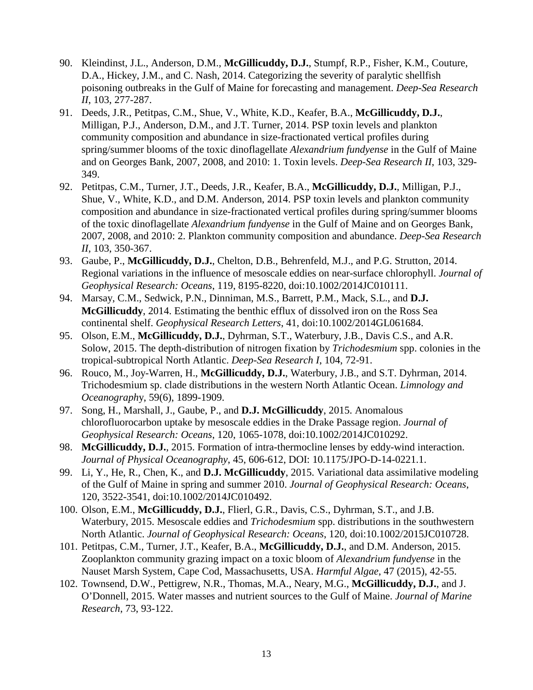- 90. Kleindinst, J.L., Anderson, D.M., **McGillicuddy, D.J.**, Stumpf, R.P., Fisher, K.M., Couture, D.A., Hickey, J.M., and C. Nash, 2014. Categorizing the severity of paralytic shellfish poisoning outbreaks in the Gulf of Maine for forecasting and management. *Deep-Sea Research II*, 103, 277-287.
- 91. Deeds, J.R., Petitpas, C.M., Shue, V., White, K.D., Keafer, B.A., **McGillicuddy, D.J.**, Milligan, P.J., Anderson, D.M., and J.T. Turner, 2014. PSP toxin levels and plankton community composition and abundance in size-fractionated vertical profiles during spring/summer blooms of the toxic dinoflagellate *Alexandrium fundyense* in the Gulf of Maine and on Georges Bank, 2007, 2008, and 2010: 1. Toxin levels. *Deep-Sea Research II*, 103, 329- 349.
- 92. Petitpas, C.M., Turner, J.T., Deeds, J.R., Keafer, B.A., **McGillicuddy, D.J.**, Milligan, P.J., Shue, V., White, K.D., and D.M. Anderson, 2014. PSP toxin levels and plankton community composition and abundance in size-fractionated vertical profiles during spring/summer blooms of the toxic dinoflagellate *Alexandrium fundyense* in the Gulf of Maine and on Georges Bank, 2007, 2008, and 2010: 2. Plankton community composition and abundance. *Deep-Sea Research II*, 103, 350-367.
- 93. Gaube, P., **McGillicuddy, D.J.**, Chelton, D.B., Behrenfeld, M.J., and P.G. Strutton, 2014. Regional variations in the influence of mesoscale eddies on near-surface chlorophyll. *Journal of Geophysical Research: Oceans*, 119, 8195-8220, doi:10.1002/2014JC010111.
- 94. Marsay, C.M., Sedwick, P.N., Dinniman, M.S., Barrett, P.M., Mack, S.L., and **D.J. McGillicuddy**, 2014. Estimating the benthic efflux of dissolved iron on the Ross Sea continental shelf. *Geophysical Research Letters*, 41, doi:10.1002/2014GL061684.
- 95. Olson, E.M., **McGillicuddy, D.J.**, Dyhrman, S.T., Waterbury, J.B., Davis C.S., and A.R. Solow, 2015. The depth-distribution of nitrogen fixation by *Trichodesmium* spp. colonies in the tropical-subtropical North Atlantic. *Deep-Sea Research I*, 104, 72-91.
- 96. Rouco, M., Joy-Warren, H., **McGillicuddy, D.J.**, Waterbury, J.B., and S.T. Dyhrman, 2014. Trichodesmium sp. clade distributions in the western North Atlantic Ocean. *Limnology and Oceanograph*y, 59(6), 1899-1909.
- 97. Song, H., Marshall, J., Gaube, P., and **D.J. McGillicuddy**, 2015. Anomalous chlorofluorocarbon uptake by mesoscale eddies in the Drake Passage region. *Journal of Geophysical Research: Oceans*, 120, 1065-1078, doi:10.1002/2014JC010292.
- 98. **McGillicuddy, D.J.**, 2015. Formation of intra-thermocline lenses by eddy-wind interaction. *Journal of Physical Oceanography*, 45, 606-612, DOI: 10.1175/JPO-D-14-0221.1.
- 99. Li, Y., He, R., Chen, K., and **D.J. McGillicuddy**, 2015. Variational data assimilative modeling of the Gulf of Maine in spring and summer 2010. *Journal of Geophysical Research: Oceans*, 120, 3522-3541, doi:10.1002/2014JC010492.
- 100. Olson, E.M., **McGillicuddy, D.J.**, Flierl, G.R., Davis, C.S., Dyhrman, S.T., and J.B. Waterbury, 2015. Mesoscale eddies and *Trichodesmium* spp. distributions in the southwestern North Atlantic. *Journal of Geophysical Research: Oceans*, 120, doi:10.1002/2015JC010728.
- 101. Petitpas, C.M., Turner, J.T., Keafer, B.A., **McGillicuddy, D.J.**, and D.M. Anderson, 2015. Zooplankton community grazing impact on a toxic bloom of *Alexandrium fundyense* in the Nauset Marsh System, Cape Cod, Massachusetts, USA. *Harmful Algae*, 47 (2015), 42-55.
- 102. Townsend, D.W., Pettigrew, N.R., Thomas, M.A., Neary, M.G., **McGillicuddy, D.J.**, and J. O'Donnell, 2015. Water masses and nutrient sources to the Gulf of Maine. *Journal of Marine Research*, 73, 93-122.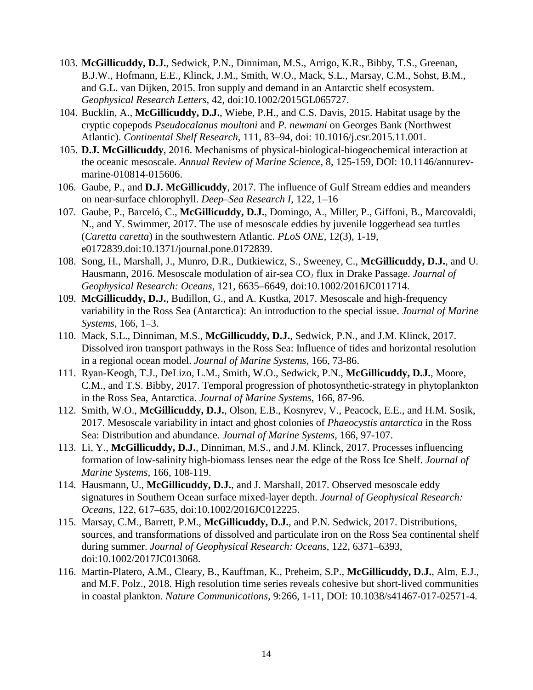- 103. **McGillicuddy, D.J.**, Sedwick, P.N., Dinniman, M.S., Arrigo, K.R., Bibby, T.S., Greenan, B.J.W., Hofmann, E.E., Klinck, J.M., Smith, W.O., Mack, S.L., Marsay, C.M., Sohst, B.M., and G.L. van Dijken, 2015. [Iron supply and demand in an Antarctic shelf ecosystem.](http://science.whoi.edu/users/olga/publications/mcg_et_al_2015_PRISM.pdf) *Geophysical Research Letters*, 42, doi:10.1002/2015GL065727.
- 104. Bucklin, A., **McGillicuddy, D.J.**, Wiebe, P.H., and C.S. Davis, 2015. [Habitat usage](http://science.whoi.edu/users/olga/publications/Bucklin-etal_2015-CSR-Pseudocalanus.pdf) by the cryptic copepods *Pseudocalanus moultoni* and *P. newmani* [on Georges Bank \(Northwest](http://science.whoi.edu/users/olga/publications/Bucklin-etal_2015-CSR-Pseudocalanus.pdf)  [Atlantic\).](http://science.whoi.edu/users/olga/publications/Bucklin-etal_2015-CSR-Pseudocalanus.pdf) *Continental Shelf Research*, 111, 83–94, doi: 10.1016/j.csr.2015.11.001.
- 105. **D.J. McGillicuddy**, 2016. [Mechanisms of physical-biological-biogeochemical interaction at](http://www.annualreviews.org/eprint/kQEuJNCBHhXEG6Qs6trk/full/10.1146/annurev-marine-010814-015606)  [the oceanic mesoscale.](http://www.annualreviews.org/eprint/kQEuJNCBHhXEG6Qs6trk/full/10.1146/annurev-marine-010814-015606) *Annual Review of Marine Science*, 8, 125-159, DOI: 10.1146/annurevmarine-010814-015606.
- 106. Gaube, P., and **D.J. McGillicuddy**, 2017. The influence of Gulf Stream eddies and meanders on near-surface chlorophyll. *Deep–Sea Research I*, 122, 1–16
- 107. Gaube, P., Barceló, C., **McGillicuddy, D.J.**, Domingo, A., Miller, P., Giffoni, B., Marcovaldi, N., and Y. Swimmer, 2017. The use of mesoscale eddies by juvenile loggerhead sea turtles (*Caretta caretta*) in the southwestern Atlantic. *PLoS ONE*, 12(3), 1-19, e0172839.doi:10.1371/journal.pone.0172839.
- 108. Song, H., Marshall, J., Munro, D.R., Dutkiewicz, S., Sweeney, C., **McGillicuddy, D.J.**, and U. Hausmann, 2016. Mesoscale modulation of air-sea CO<sub>2</sub> flux in Drake Passage. *Journal of Geophysical Research: Oceans*, 121, 6635–6649, doi:10.1002/2016JC011714.
- 109. **McGillicuddy, D.J.**, Budillon, G., and A. Kustka, 2017. Mesoscale and high-frequency variability in the Ross Sea (Antarctica): An introduction to the special issue. *Journal of Marine Systems*, 166, 1–3.
- 110. Mack, S.L., Dinniman, M.S., **McGillicuddy, D.J.**, Sedwick, P.N., and J.M. Klinck, 2017. Dissolved iron transport pathways in the Ross Sea: Influence of tides and horizontal resolution in a regional ocean model. *Journal of Marine Systems*, 166, 73-86.
- 111. Ryan-Keogh, T.J., DeLizo, L.M., Smith, W.O., Sedwick, P.N., **McGillicuddy, D.J.**, Moore, C.M., and T.S. Bibby, 2017. Temporal progression of photosynthetic-strategy in phytoplankton in the Ross Sea, Antarctica. *Journal of Marine Systems*, 166, 87-96.
- 112. Smith, W.O., **McGillicuddy, D.J.**, Olson, E.B., Kosnyrev, V., Peacock, E.E., and H.M. Sosik, 2017. Mesoscale variability in intact and ghost colonies of *Phaeocystis antarctica* in the Ross Sea: Distribution and abundance. *Journal of Marine Systems*, 166, 97-107.
- 113. Li, Y., **McGillicuddy, D.J.**, Dinniman, M.S., and J.M. Klinck, 2017. Processes influencing formation of low-salinity high-biomass lenses near the edge of the Ross Ice Shelf. *Journal of Marine Systems*, 166, 108-119.
- 114. Hausmann, U., **McGillicuddy, D.J.**, and J. Marshall, 2017. Observed mesoscale eddy signatures in Southern Ocean surface mixed-layer depth. *Journal of Geophysical Research: Oceans*, 122, 617–635, doi:10.1002/2016JC012225.
- 115. Marsay, C.M., Barrett, P.M., **McGillicuddy, D.J.**, and P.N. Sedwick, 2017. Distributions, sources, and transformations of dissolved and particulate iron on the Ross Sea continental shelf during summer. *Journal of Geophysical Research: Oceans*, 122, 6371–6393, doi:10.1002/2017JC013068.
- 116. Martin-Platero, A.M., Cleary, B., Kauffman, K., Preheim, S.P., **McGillicuddy, D.J.**, Alm, E.J., and M.F. Polz., 2018. High resolution time series reveals cohesive but short-lived communities in coastal plankton. *Nature Communications*, 9:266, 1-11, DOI: 10.1038/s41467-017-02571-4.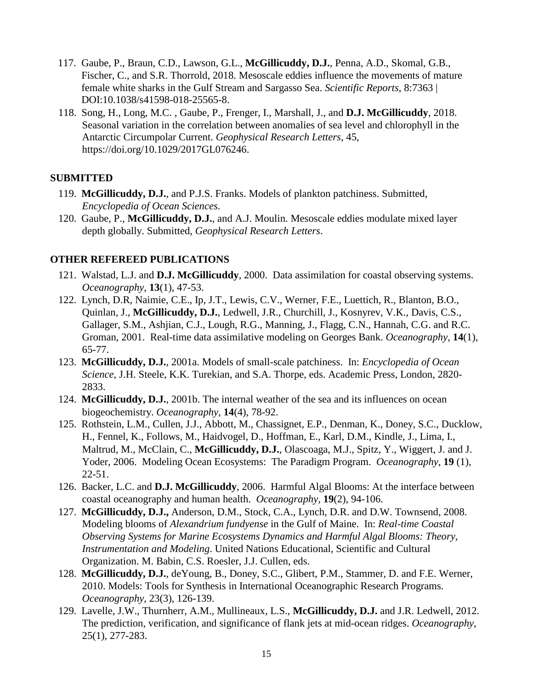- 117. Gaube, P., Braun, C.D., Lawson, G.L., **McGillicuddy, D.J.**, Penna, A.D., Skomal, G.B., Fischer, C., and S.R. Thorrold, 2018. Mesoscale eddies influence the movements of mature female white sharks in the Gulf Stream and Sargasso Sea. *Scientific Reports*, 8:7363 | DOI:10.1038/s41598-018-25565-8.
- 118. Song, H., Long, M.C. , Gaube, P., Frenger, I., Marshall, J., and **D.J. McGillicuddy**, 2018. Seasonal variation in the correlation between anomalies of sea level and chlorophyll in the Antarctic Circumpolar Current. *Geophysical Research Letters*, 45, https://doi.org/10.1029/2017GL076246.

# **SUBMITTED**

- 119. **McGillicuddy, D.J.**, and P.J.S. Franks. Models of plankton patchiness. Submitted, *Encyclopedia of Ocean Sciences*.
- 120. Gaube, P., **McGillicuddy, D.J.**, and A.J. Moulin. Mesoscale eddies modulate mixed layer depth globally. Submitted, *Geophysical Research Letters*.

# **OTHER REFEREED PUBLICATIONS**

- 121. Walstad, L.J. and **D.J. McGillicuddy**, 2000. Data assimilation for coastal observing systems. *Oceanography,* **13**(1), 47-53.
- 122. Lynch, D.R, Naimie, C.E., Ip, J.T., Lewis, C.V., Werner, F.E., Luettich, R., Blanton, B.O., Quinlan, J., **McGillicuddy, D.J.**, Ledwell, J.R., Churchill, J., Kosnyrev, V.K., Davis, C.S., Gallager, S.M., Ashjian, C.J., Lough, R.G., Manning, J., Flagg, C.N., Hannah, C.G. and R.C. Groman, 2001. Real-time data assimilative modeling on Georges Bank. *Oceanography,* **14**(1), 65-77.
- 123. **McGillicuddy, D.J.**, 2001a. Models of small-scale patchiness. In: *Encyclopedia of Ocean Science*, J.H. Steele, K.K. Turekian, and S.A. Thorpe, eds. Academic Press, London, 2820- 2833.
- 124. **McGillicuddy, D.J.**, 2001b. The internal weather of the sea and its influences on ocean biogeochemistry. *Oceanography*, **14**(4), 78-92.
- 125. Rothstein, L.M., Cullen, J.J., Abbott, M., Chassignet, E.P., Denman, K., Doney, S.C., Ducklow, H., Fennel, K., Follows, M., Haidvogel, D., Hoffman, E., Karl, D.M., Kindle, J., Lima, I., Maltrud, M., McClain, C., **McGillicuddy, D.J.**, Olascoaga, M.J., Spitz, Y., Wiggert, J. and J. Yoder, 2006. Modeling Ocean Ecosystems: The Paradigm Program. *Oceanography*, **19** (1), 22-51.
- 126. Backer, L.C. and **D.J. McGillicuddy**, 2006. Harmful Algal Blooms: At the interface between coastal oceanography and human health. *Oceanography,* **19**(2), 94-106.
- 127. **McGillicuddy, D.J.,** Anderson, D.M., Stock, C.A., Lynch, D.R. and D.W. Townsend, 2008. Modeling blooms of *Alexandrium fundyense* in the Gulf of Maine. In: *Real-time Coastal Observing Systems for Marine Ecosystems Dynamics and Harmful Algal Blooms: Theory, Instrumentation and Modeling*. United Nations Educational, Scientific and Cultural Organization. M. Babin, C.S. Roesler, J.J. Cullen, eds.
- 128. **McGillicuddy, D.J.**, deYoung, B., Doney, S.C., Glibert, P.M., Stammer, D. and F.E. Werner, 2010. Models: Tools for Synthesis in International Oceanographic Research Programs. *Oceanography*, 23(3), 126-139.
- 129. Lavelle, J.W., Thurnherr, A.M., Mullineaux, L.S., **McGillicuddy, D.J.** and J.R. Ledwell, 2012. The prediction, verification, and significance of flank jets at mid-ocean ridges. *Oceanography*, 25(1), 277-283.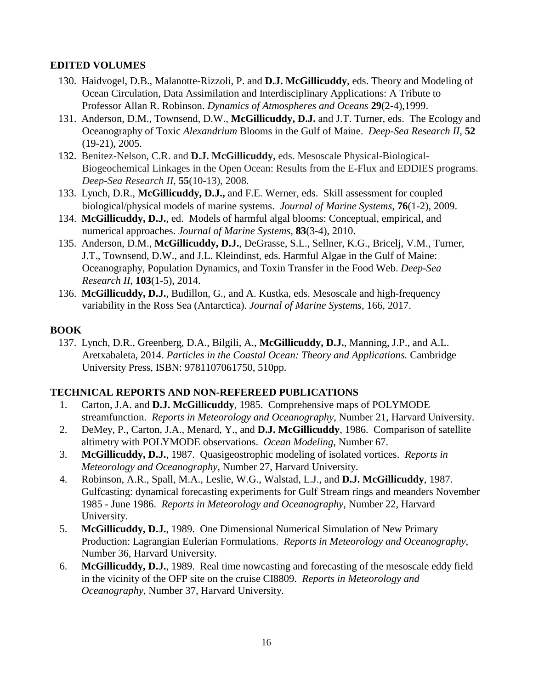# **EDITED VOLUMES**

- 130. Haidvogel, D.B., Malanotte-Rizzoli, P. and **D.J. McGillicuddy**, eds. Theory and Modeling of Ocean Circulation, Data Assimilation and Interdisciplinary Applications: A Tribute to Professor Allan R. Robinson. *Dynamics of Atmospheres and Oceans* **29**(2-4),1999.
- 131. Anderson, D.M., Townsend, D.W., **McGillicuddy, D.J.** and J.T. Turner, eds. The Ecology and Oceanography of Toxic *Alexandrium* Blooms in the Gulf of Maine. *Deep-Sea Research II*, **52** (19-21), 2005.
- 132. Benitez-Nelson, C.R. and **D.J. McGillicuddy,** eds. Mesoscale Physical-Biological-Biogeochemical Linkages in the Open Ocean: Results from the E-Flux and EDDIES programs. *Deep-Sea Research II*, **55**(10-13), 2008.
- 133. Lynch, D.R., **McGillicuddy, D.J.,** and F.E. Werner, eds. Skill assessment for coupled biological/physical models of marine systems. *Journal of Marine Systems*, **76**(1-2), 2009.
- 134. **McGillicuddy, D.J.**, ed. Models of harmful algal blooms: Conceptual, empirical, and numerical approaches. *Journal of Marine Systems*, **83**(3-4), 2010.
- 135. Anderson, D.M., **McGillicuddy, D.J.**, DeGrasse, S.L., Sellner, K.G., Bricelj, V.M., Turner, J.T., Townsend, D.W., and J.L. Kleindinst, eds. Harmful Algae in the Gulf of Maine: Oceanography, Population Dynamics, and Toxin Transfer in the Food Web. *Deep-Sea Research II*, **103**(1-5), 2014.
- 136. **McGillicuddy, D.J.**, Budillon, G., and A. Kustka, eds. Mesoscale and high-frequency variability in the Ross Sea (Antarctica). *Journal of Marine Systems*, 166, 2017.

# **BOOK**

137. Lynch, D.R., Greenberg, D.A., Bilgili, A., **McGillicuddy, D.J.**, Manning, J.P., and A.L. Aretxabaleta, 2014. *Particles in the Coastal Ocean: Theory and Applications.* Cambridge University Press, ISBN: 9781107061750, 510pp.

# **TECHNICAL REPORTS AND NON-REFEREED PUBLICATIONS**

- 1. Carton, J.A. and **D.J. McGillicuddy**, 1985. Comprehensive maps of POLYMODE streamfunction. *Reports in Meteorology and Oceanography*, Number 21, Harvard University.
- 2. DeMey, P., Carton, J.A., Menard, Y., and **D.J. McGillicuddy**, 1986. Comparison of satellite altimetry with POLYMODE observations. *Ocean Modeling,* Number 67.
- 3. **McGillicuddy, D.J.**, 1987. Quasigeostrophic modeling of isolated vortices. *Reports in Meteorology and Oceanography*, Number 27, Harvard University.
- 4. Robinson, A.R., Spall, M.A., Leslie, W.G., Walstad, L.J., and **D.J. McGillicuddy**, 1987. Gulfcasting: dynamical forecasting experiments for Gulf Stream rings and meanders November 1985 - June 1986. *Reports in Meteorology and Oceanography*, Number 22, Harvard University.
- 5. **McGillicuddy, D.J.**, 1989. One Dimensional Numerical Simulation of New Primary Production: Lagrangian Eulerian Formulations. *Reports in Meteorology and Oceanography*, Number 36, Harvard University.
- 6. **McGillicuddy, D.J.**, 1989. Real time nowcasting and forecasting of the mesoscale eddy field in the vicinity of the OFP site on the cruise CI8809. *Reports in Meteorology and Oceanography*, Number 37, Harvard University.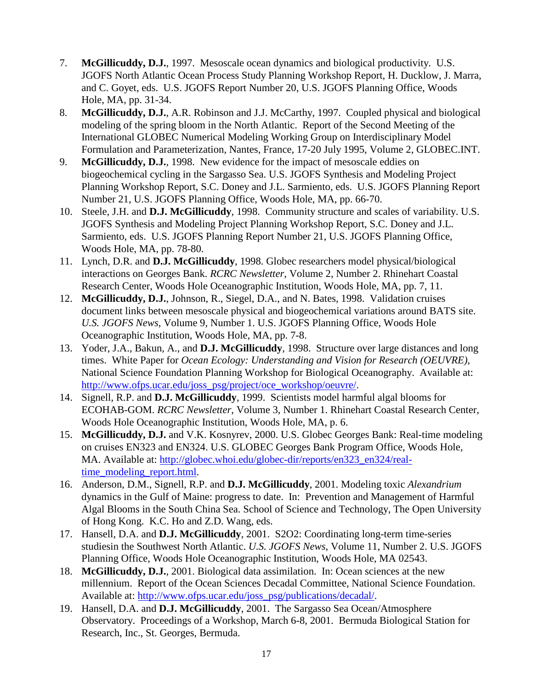- 7. **McGillicuddy, D.J.**, 1997. Mesoscale ocean dynamics and biological productivity. U.S. JGOFS North Atlantic Ocean Process Study Planning Workshop Report, H. Ducklow, J. Marra, and C. Goyet, eds. U.S. JGOFS Report Number 20, U.S. JGOFS Planning Office, Woods Hole, MA, pp. 31-34.
- 8. **McGillicuddy, D.J.**, A.R. Robinson and J.J. McCarthy, 1997. Coupled physical and biological modeling of the spring bloom in the North Atlantic. Report of the Second Meeting of the International GLOBEC Numerical Modeling Working Group on Interdisciplinary Model Formulation and Parameterization, Nantes, France, 17-20 July 1995, Volume 2, GLOBEC.INT.
- 9. **McGillicuddy, D.J.**, 1998. New evidence for the impact of mesoscale eddies on biogeochemical cycling in the Sargasso Sea. U.S. JGOFS Synthesis and Modeling Project Planning Workshop Report, S.C. Doney and J.L. Sarmiento, eds. U.S. JGOFS Planning Report Number 21, U.S. JGOFS Planning Office, Woods Hole, MA, pp. 66-70.
- 10. Steele, J.H. and **D.J. McGillicuddy**, 1998. Community structure and scales of variability. U.S. JGOFS Synthesis and Modeling Project Planning Workshop Report, S.C. Doney and J.L. Sarmiento, eds. U.S. JGOFS Planning Report Number 21, U.S. JGOFS Planning Office, Woods Hole, MA, pp. 78-80.
- 11. Lynch, D.R. and **D.J. McGillicuddy**, 1998. Globec researchers model physical/biological interactions on Georges Bank. *RCRC Newsletter*, Volume 2, Number 2. Rhinehart Coastal Research Center, Woods Hole Oceanographic Institution, Woods Hole, MA, pp. 7, 11.
- 12. **McGillicuddy, D.J.**, Johnson, R., Siegel, D.A., and N. Bates, 1998. Validation cruises document links between mesoscale physical and biogeochemical variations around BATS site. *U.S. JGOFS News*, Volume 9, Number 1. U.S. JGOFS Planning Office, Woods Hole Oceanographic Institution, Woods Hole, MA, pp. 7-8.
- 13. Yoder, J.A., Bakun, A., and **D.J. McGillicuddy**, 1998. Structure over large distances and long times. White Paper for *Ocean Ecology: Understanding and Vision for Research (OEUVRE)*, National Science Foundation Planning Workshop for Biological Oceanography. Available at: [http://www.ofps.ucar.edu/joss\\_psg/project/oce\\_workshop/oeuvre/.](http://www.ofps.ucar.edu/joss_psg/project/oce_workshop/oeuvre/)
- 14. Signell, R.P. and **D.J. McGillicuddy**, 1999. Scientists model harmful algal blooms for ECOHAB-GOM. *RCRC Newsletter*, Volume 3, Number 1. Rhinehart Coastal Research Center, Woods Hole Oceanographic Institution, Woods Hole, MA, p. 6.
- 15. **McGillicuddy, D.J.** and V.K. Kosnyrev, 2000. U.S. Globec Georges Bank: Real-time modeling on cruises EN323 and EN324. U.S. GLOBEC Georges Bank Program Office, Woods Hole, MA. Available at: [http://globec.whoi.edu/globec-dir/reports/en323\\_en324/real](http://globec.whoi.edu/globec-dir/reports/en323_en324/real-time_modeling_report.html)[time\\_modeling\\_report.html.](http://globec.whoi.edu/globec-dir/reports/en323_en324/real-time_modeling_report.html)
- 16. Anderson, D.M., Signell, R.P. and **D.J. McGillicuddy**, 2001. Modeling toxic *Alexandrium* dynamics in the Gulf of Maine: progress to date. In: Prevention and Management of Harmful Algal Blooms in the South China Sea. School of Science and Technology, The Open University of Hong Kong. K.C. Ho and Z.D. Wang, eds.
- 17. Hansell, D.A. and **D.J. McGillicuddy**, 2001. S2O2: Coordinating long-term time-series studiesin the Southwest North Atlantic. *U.S. JGOFS News*, Volume 11, Number 2. U.S. JGOFS Planning Office, Woods Hole Oceanographic Institution, Woods Hole, MA 02543.
- 18. **McGillicuddy, D.J.**, 2001. Biological data assimilation. In: Ocean sciences at the new millennium. Report of the Ocean Sciences Decadal Committee, National Science Foundation. Available at: [http://www.ofps.ucar.edu/joss\\_psg/publications/decadal/.](http://www.ofps.ucar.edu/joss_psg/publications/decadal/)
- 19. Hansell, D.A. and **D.J. McGillicuddy**, 2001. The Sargasso Sea Ocean/Atmosphere Observatory. Proceedings of a Workshop, March 6-8, 2001. Bermuda Biological Station for Research, Inc., St. Georges, Bermuda.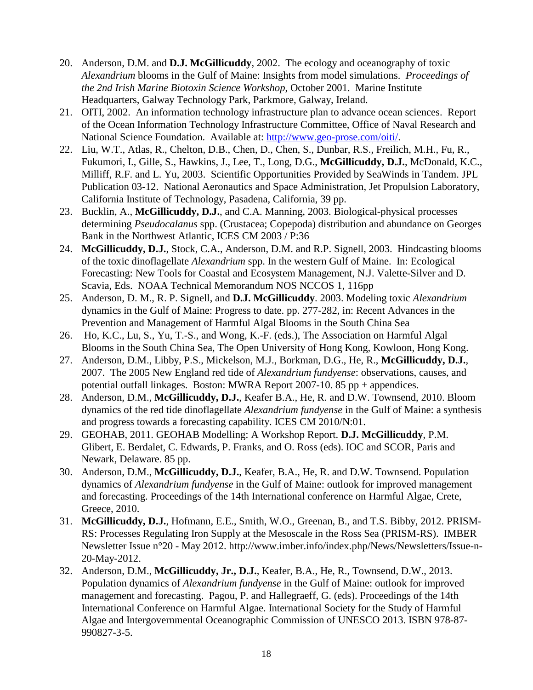- 20. Anderson, D.M. and **D.J. McGillicuddy**, 2002. The ecology and oceanography of toxic *Alexandrium* blooms in the Gulf of Maine: Insights from model simulations. *Proceedings of the 2nd Irish Marine Biotoxin Science Workshop*, October 2001. Marine Institute Headquarters, Galway Technology Park, Parkmore, Galway, Ireland.
- 21. OITI, 2002. An information technology infrastructure plan to advance ocean sciences. Report of the Ocean Information Technology Infrastructure Committee, Office of Naval Research and National Science Foundation. Available at: [http://www.geo-prose.com/oiti/.](http://www.geo-prose.com/oiti/)
- 22. Liu, W.T., Atlas, R., Chelton, D.B., Chen, D., Chen, S., Dunbar, R.S., Freilich, M.H., Fu, R., Fukumori, I., Gille, S., Hawkins, J., Lee, T., Long, D.G., **McGillicuddy, D.J.**, McDonald, K.C., Milliff, R.F. and L. Yu, 2003. Scientific Opportunities Provided by SeaWinds in Tandem. JPL Publication 03-12. National Aeronautics and Space Administration, Jet Propulsion Laboratory, California Institute of Technology, Pasadena, California, 39 pp.
- 23. Bucklin, A., **McGillicuddy, D.J.**, and C.A. Manning, 2003. Biological-physical processes determining *Pseudocalanus* spp. (Crustacea; Copepoda) distribution and abundance on Georges Bank in the Northwest Atlantic, ICES CM 2003 / P:36
- 24. **McGillicuddy, D.J.**, Stock, C.A., Anderson, D.M. and R.P. Signell, 2003. Hindcasting blooms of the toxic dinoflagellate *Alexandrium* spp. In the western Gulf of Maine. In: Ecological Forecasting: New Tools for Coastal and Ecosystem Management, N.J. Valette-Silver and D. Scavia, Eds. NOAA Technical Memorandum NOS NCCOS 1, 116pp
- 25. Anderson, D. M., R. P. Signell, and **D.J. McGillicuddy**. 2003. Modeling toxic *Alexandrium* dynamics in the Gulf of Maine: Progress to date. pp. 277-282, in: Recent Advances in the Prevention and Management of Harmful Algal Blooms in the South China Sea
- 26. Ho, K.C., Lu, S., Yu, T.-S., and Wong, K.-F. (eds.), The Association on Harmful Algal Blooms in the South China Sea, The Open University of Hong Kong, Kowloon, Hong Kong.
- 27. Anderson, D.M., Libby, P.S., Mickelson, M.J., Borkman, D.G., He, R., **McGillicuddy, D.J.**, 2007. The 2005 New England red tide of *Alexandrium fundyense*: observations, causes, and potential outfall linkages. Boston: MWRA Report 2007-10. 85 pp + appendices.
- 28. Anderson, D.M., **McGillicuddy, D.J.**, Keafer B.A., He, R. and D.W. Townsend, 2010. Bloom dynamics of the red tide dinoflagellate *Alexandrium fundyense* in the Gulf of Maine: a synthesis and progress towards a forecasting capability. ICES CM 2010/N:01.
- 29. GEOHAB, 2011. GEOHAB Modelling: A Workshop Report. **D.J. McGillicuddy**, P.M. Glibert, E. Berdalet, C. Edwards, P. Franks, and O. Ross (eds). IOC and SCOR, Paris and Newark, Delaware. 85 pp.
- 30. Anderson, D.M., **McGillicuddy, D.J.**, Keafer, B.A., He, R. and D.W. Townsend. Population dynamics of *Alexandrium fundyense* in the Gulf of Maine: outlook for improved management and forecasting. Proceedings of the 14th International conference on Harmful Algae, Crete, Greece, 2010.
- 31. **McGillicuddy, D.J.**, Hofmann, E.E., Smith, W.O., Greenan, B., and T.S. Bibby, 2012. PRISM-RS: Processes Regulating Iron Supply at the Mesoscale in the Ross Sea (PRISM-RS). IMBER Newsletter Issue n°20 - May 2012. http://www.imber.info/index.php/News/Newsletters/Issue-n-20-May-2012.
- 32. Anderson, D.M., **McGillicuddy, Jr., D.J.**, Keafer, B.A., He, R., Townsend, D.W., 2013. Population dynamics of *Alexandrium fundyense* in the Gulf of Maine: outlook for improved management and forecasting. Pagou, P. and Hallegraeff, G. (eds). Proceedings of the 14th International Conference on Harmful Algae. International Society for the Study of Harmful Algae and Intergovernmental Oceanographic Commission of UNESCO 2013. ISBN 978-87- 990827-3-5.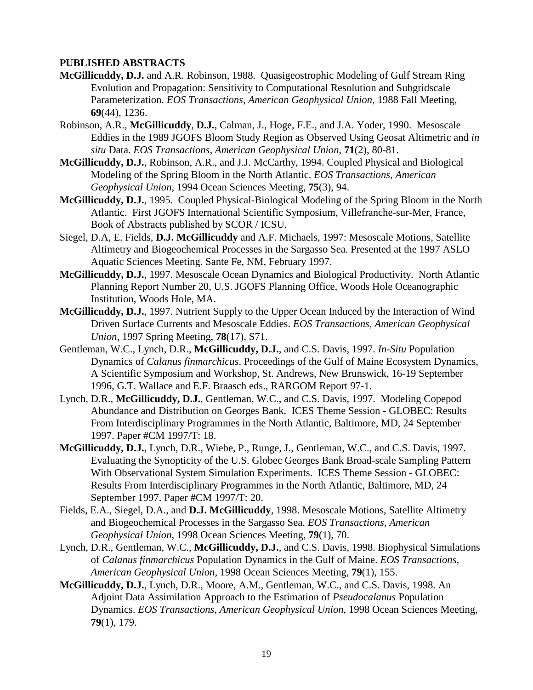## **PUBLISHED ABSTRACTS**

- **McGillicuddy, D.J.** and A.R. Robinson, 1988. Quasigeostrophic Modeling of Gulf Stream Ring Evolution and Propagation: Sensitivity to Computational Resolution and Subgridscale Parameterization. *EOS Transactions, American Geophysical Union*, 1988 Fall Meeting, **69**(44), 1236.
- Robinson, A.R., **McGillicuddy**, **D.J.**, Calman, J., Hoge, F.E., and J.A. Yoder, 1990. Mesoscale Eddies in the 1989 JGOFS Bloom Study Region as Observed Using Geosat Altimetric and *in situ* Data. *EOS Transactions, American Geophysical Union*, **71**(2), 80-81.
- **McGillicuddy, D.J.**, Robinson, A.R., and J.J. McCarthy, 1994. Coupled Physical and Biological Modeling of the Spring Bloom in the North Atlantic. *EOS Transactions, American Geophysical Union*, 1994 Ocean Sciences Meeting, **75**(3), 94.
- **McGillicuddy, D.J.**, 1995. Coupled Physical-Biological Modeling of the Spring Bloom in the North Atlantic. First JGOFS International Scientific Symposium, Villefranche-sur-Mer, France, Book of Abstracts published by SCOR / ICSU.
- Siegel, D.A, E. Fields, **D.J. McGillicuddy** and A.F. Michaels, 1997: Mesoscale Motions, Satellite Altimetry and Biogeochemical Processes in the Sargasso Sea. Presented at the 1997 ASLO Aquatic Sciences Meeting. Sante Fe, NM, February 1997.
- **McGillicuddy, D.J.**, 1997. Mesoscale Ocean Dynamics and Biological Productivity. North Atlantic Planning Report Number 20, U.S. JGOFS Planning Office, Woods Hole Oceanographic Institution, Woods Hole, MA.
- **McGillicuddy, D.J.**, 1997. Nutrient Supply to the Upper Ocean Induced by the Interaction of Wind Driven Surface Currents and Mesoscale Eddies. *EOS Transactions, American Geophysical Union*, 1997 Spring Meeting, **78**(17), S71.
- Gentleman, W.C., Lynch, D.R., **McGillicuddy, D.J.**, and C.S. Davis, 1997. *In-Situ* Population Dynamics of *Calanus finmarchicus*. Proceedings of the Gulf of Maine Ecosystem Dynamics, A Scientific Symposium and Workshop*,* St. Andrews, New Brunswick, 16-19 September 1996, G.T. Wallace and E.F. Braasch eds., RARGOM Report 97-1.
- Lynch, D.R., **McGillicuddy, D.J.**, Gentleman, W.C., and C.S. Davis, 1997. Modeling Copepod Abundance and Distribution on Georges Bank. ICES Theme Session - GLOBEC: Results From Interdisciplinary Programmes in the North Atlantic, Baltimore, MD, 24 September 1997. Paper #CM 1997/T: 18.
- **McGillicuddy, D.J.**, Lynch, D.R., Wiebe, P., Runge, J., Gentleman, W.C., and C.S. Davis, 1997. Evaluating the Synopticity of the U.S. Globec Georges Bank Broad-scale Sampling Pattern With Observational System Simulation Experiments. ICES Theme Session - GLOBEC: Results From Interdisciplinary Programmes in the North Atlantic, Baltimore, MD, 24 September 1997. Paper #CM 1997/T: 20.
- Fields, E.A., Siegel, D.A., and **D.J. McGillicuddy**, 1998. Mesoscale Motions, Satellite Altimetry and Biogeochemical Processes in the Sargasso Sea. *EOS Transactions, American Geophysical Union*, 1998 Ocean Sciences Meeting, **79**(1), 70.
- Lynch, D.R., Gentleman, W.C., **McGillicuddy, D.J.**, and C.S. Davis, 1998. Biophysical Simulations of *Calanus finmarchicus* Population Dynamics in the Gulf of Maine. *EOS Transactions, American Geophysical Union*, 1998 Ocean Sciences Meeting, **79**(1), 155.
- **McGillicuddy, D.J.**, Lynch, D.R., Moore, A.M., Gentleman, W.C., and C.S. Davis, 1998. An Adjoint Data Assimilation Approach to the Estimation of *Pseudocalanus* Population Dynamics. *EOS Transactions, American Geophysical Union*, 1998 Ocean Sciences Meeting, **79**(1), 179.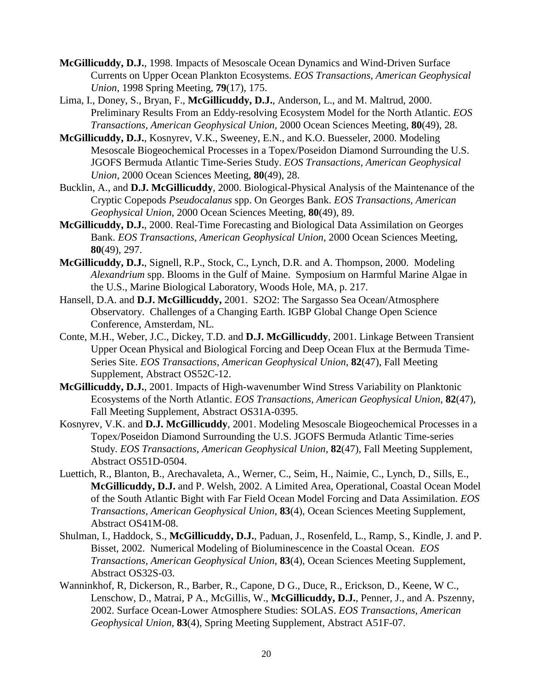- **McGillicuddy, D.J.**, 1998. Impacts of Mesoscale Ocean Dynamics and Wind-Driven Surface Currents on Upper Ocean Plankton Ecosystems. *EOS Transactions, American Geophysical Union*, 1998 Spring Meeting, **79**(17), 175.
- Lima, I., Doney, S., Bryan, F., **McGillicuddy, D.J.**, Anderson, L., and M. Maltrud, 2000. Preliminary Results From an Eddy-resolving Ecosystem Model for the North Atlantic. *EOS Transactions, American Geophysical Union,* 2000 Ocean Sciences Meeting, **80**(49), 28.
- **McGillicuddy, D.J.**, Kosnyrev, V.K., Sweeney, E.N., and K.O. Buesseler, 2000. Modeling Mesoscale Biogeochemical Processes in a Topex/Poseidon Diamond Surrounding the U.S. JGOFS Bermuda Atlantic Time-Series Study. *EOS Transactions, American Geophysical Union,* 2000 Ocean Sciences Meeting, **80**(49), 28.
- Bucklin, A., and **D.J. McGillicuddy**, 2000. Biological-Physical Analysis of the Maintenance of the Cryptic Copepods *Pseudocalanus* spp. On Georges Bank. *EOS Transactions, American Geophysical Union,* 2000 Ocean Sciences Meeting, **80**(49), 89.
- **McGillicuddy, D.J.**, 2000. Real-Time Forecasting and Biological Data Assimilation on Georges Bank. *EOS Transactions, American Geophysical Union,* 2000 Ocean Sciences Meeting, **80**(49), 297.
- **McGillicuddy, D.J.**, Signell, R.P., Stock, C., Lynch, D.R. and A. Thompson, 2000. Modeling *Alexandrium* spp. Blooms in the Gulf of Maine. Symposium on Harmful Marine Algae in the U.S., Marine Biological Laboratory, Woods Hole, MA, p. 217.
- Hansell, D.A. and **D.J. McGillicuddy,** 2001. S2O2: The Sargasso Sea Ocean/Atmosphere Observatory. Challenges of a Changing Earth. IGBP Global Change Open Science Conference, Amsterdam, NL.
- Conte, M.H., Weber, J.C., Dickey, T.D. and **D.J. McGillicuddy**, 2001. Linkage Between Transient Upper Ocean Physical and Biological Forcing and Deep Ocean Flux at the Bermuda Time-Series Site. *EOS Transactions, American Geophysical Union*, **82**(47), Fall Meeting Supplement, Abstract OS52C-12.
- **McGillicuddy, D.J.**, 2001. Impacts of High-wavenumber Wind Stress Variability on Planktonic Ecosystems of the North Atlantic. *EOS Transactions, American Geophysical Union*, **82**(47), Fall Meeting Supplement, Abstract OS31A-0395.
- Kosnyrev, V.K. and **D.J. McGillicuddy**, 2001. Modeling Mesoscale Biogeochemical Processes in a Topex/Poseidon Diamond Surrounding the U.S. JGOFS Bermuda Atlantic Time-series Study. *EOS Transactions, American Geophysical Union*, **82**(47), Fall Meeting Supplement, Abstract OS51D-0504.
- Luettich, R., Blanton, B., Arechavaleta, A., Werner, C., Seim, H., Naimie, C., Lynch, D., Sills, E., **McGillicuddy, D.J.** and P. Welsh, 2002. A Limited Area, Operational, Coastal Ocean Model of the South Atlantic Bight with Far Field Ocean Model Forcing and Data Assimilation. *EOS Transactions, American Geophysical Union*, **83**(4), Ocean Sciences Meeting Supplement, Abstract OS41M-08.
- Shulman, I., Haddock, S., **McGillicuddy, D.J.**, Paduan, J., Rosenfeld, L., Ramp, S., Kindle, J. and P. Bisset, 2002. Numerical Modeling of Bioluminescence in the Coastal Ocean. *EOS Transactions, American Geophysical Union*, **83**(4), Ocean Sciences Meeting Supplement, Abstract OS32S-03.
- Wanninkhof, R, Dickerson, R., Barber, R., Capone, D G., Duce, R., Erickson, D., Keene, W C., Lenschow, D., Matrai, P A., McGillis, W., **McGillicuddy, D.J.**, Penner, J., and A. Pszenny, 2002. Surface Ocean-Lower Atmosphere Studies: SOLAS. *EOS Transactions, American Geophysical Union*, **83**(4), Spring Meeting Supplement, Abstract A51F-07.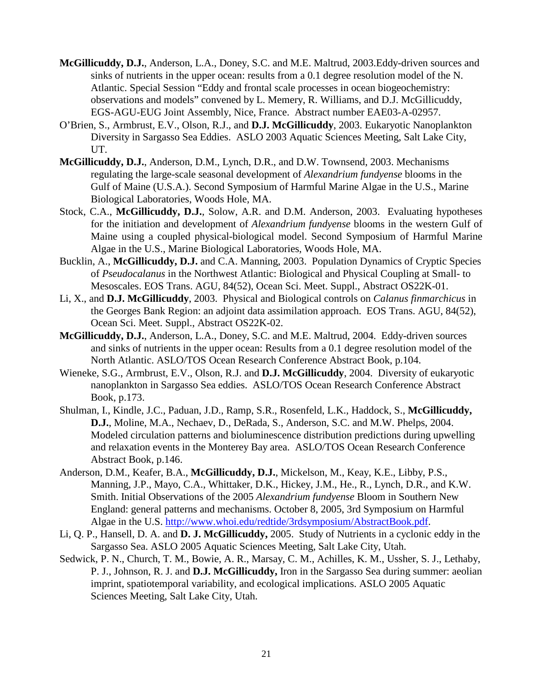- **McGillicuddy, D.J.**, Anderson, L.A., Doney, S.C. and M.E. Maltrud, 2003.Eddy-driven sources and sinks of nutrients in the upper ocean: results from a 0.1 degree resolution model of the N. Atlantic. Special Session "Eddy and frontal scale processes in ocean biogeochemistry: observations and models" convened by L. Memery, R. Williams, and D.J. McGillicuddy, EGS-AGU-EUG Joint Assembly, Nice, France. Abstract number EAE03-A-02957.
- O'Brien, S., Armbrust, E.V., Olson, R.J., and **D.J. McGillicuddy**, 2003. Eukaryotic Nanoplankton Diversity in Sargasso Sea Eddies. ASLO 2003 Aquatic Sciences Meeting, Salt Lake City, UT.
- **McGillicuddy, D.J.**, Anderson, D.M., Lynch, D.R., and D.W. Townsend, 2003. Mechanisms regulating the large-scale seasonal development of *Alexandrium fundyense* blooms in the Gulf of Maine (U.S.A.). Second Symposium of Harmful Marine Algae in the U.S., Marine Biological Laboratories, Woods Hole, MA.
- Stock, C.A., **McGillicuddy, D.J.**, Solow, A.R. and D.M. Anderson, 2003. Evaluating hypotheses for the initiation and development of *Alexandrium fundyense* blooms in the western Gulf of Maine using a coupled physical-biological model. Second Symposium of Harmful Marine Algae in the U.S., Marine Biological Laboratories, Woods Hole, MA.
- Bucklin, A., **McGillicuddy, D.J.** and C.A. Manning, 2003. Population Dynamics of Cryptic Species of *Pseudocalanus* in the Northwest Atlantic: Biological and Physical Coupling at Small- to Mesoscales. EOS Trans. AGU, 84(52), Ocean Sci. Meet. Suppl., Abstract OS22K-01.
- Li, X., and **D.J. McGillicuddy**, 2003. Physical and Biological controls on *Calanus finmarchicus* in the Georges Bank Region: an adjoint data assimilation approach. EOS Trans. AGU, 84(52), Ocean Sci. Meet. Suppl., Abstract OS22K-02.
- **McGillicuddy, D.J.**, Anderson, L.A., Doney, S.C. and M.E. Maltrud, 2004. Eddy-driven sources and sinks of nutrients in the upper ocean: Results from a 0.1 degree resolution model of the North Atlantic. ASLO/TOS Ocean Research Conference Abstract Book, p.104.
- Wieneke, S.G., Armbrust, E.V., Olson, R.J. and **D.J. McGillicuddy**, 2004. Diversity of eukaryotic nanoplankton in Sargasso Sea eddies. ASLO/TOS Ocean Research Conference Abstract Book, p.173.
- Shulman, I., Kindle, J.C., Paduan, J.D., Ramp, S.R., Rosenfeld, L.K., Haddock, S., **McGillicuddy, D.J.**, Moline, M.A., Nechaev, D., DeRada, S., Anderson, S.C. and M.W. Phelps, 2004. Modeled circulation patterns and bioluminescence distribution predictions during upwelling and relaxation events in the Monterey Bay area. ASLO/TOS Ocean Research Conference Abstract Book, p.146.
- Anderson, D.M., Keafer, B.A., **McGillicuddy, D.J.**, Mickelson, M., Keay, K.E., Libby, P.S., Manning, J.P., Mayo, C.A., Whittaker, D.K., Hickey, J.M., He., R., Lynch, D.R., and K.W. Smith. Initial Observations of the 2005 *Alexandrium fundyense* Bloom in Southern New England: general patterns and mechanisms. October 8, 2005, 3rd Symposium on Harmful Algae in the U.S. [http://www.whoi.edu/redtide/3rdsymposium/AbstractBook.pdf.](http://www.whoi.edu/redtide/3rdsymposium/AbstractBook.pdf)
- Li, Q. P., Hansell, D. A. and **D. J. McGillicuddy,** 2005. Study of Nutrients in a cyclonic eddy in the Sargasso Sea. ASLO 2005 Aquatic Sciences Meeting, Salt Lake City, Utah.
- Sedwick, P. N., Church, T. M., Bowie, A. R., Marsay, C. M., Achilles, K. M., Ussher, S. J., Lethaby, P. J., Johnson, R. J. and **D.J. McGillicuddy,** Iron in the Sargasso Sea during summer: aeolian imprint, spatiotemporal variability, and ecological implications. ASLO 2005 Aquatic Sciences Meeting, Salt Lake City, Utah.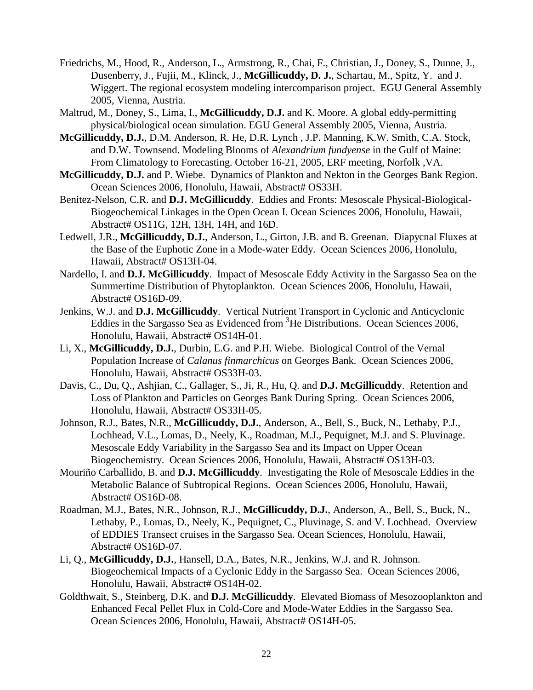- Friedrichs, M., Hood, R., Anderson, L., Armstrong, R., Chai, F., Christian, J., Doney, S., Dunne, J., Dusenberry, J., Fujii, M., Klinck, J., **McGillicuddy, D. J.**, Schartau, M., Spitz, Y. and J. Wiggert. The regional ecosystem modeling intercomparison project. EGU General Assembly 2005, Vienna, Austria.
- Maltrud, M., Doney, S., Lima, I., **McGillicuddy, D.J.** and K. Moore. A global eddy-permitting physical/biological ocean simulation. EGU General Assembly 2005, Vienna, Austria.
- **McGillicuddy, D.J.**, D.M. Anderson, R. He, D.R. Lynch , J.P. Manning, K.W. Smith, C.A. Stock, and D.W. Townsend. Modeling Blooms of *Alexandrium fundyense* in the Gulf of Maine: From Climatology to Forecasting. October 16-21, 2005, ERF meeting, Norfolk ,VA.
- **McGillicuddy, D.J.** and P. Wiebe. Dynamics of Plankton and Nekton in the Georges Bank Region. Ocean Sciences 2006, Honolulu, Hawaii, Abstract# OS33H.
- Benitez-Nelson, C.R. and **D.J. McGillicuddy**. Eddies and Fronts: Mesoscale Physical-Biological-Biogeochemical Linkages in the Open Ocean I. Ocean Sciences 2006, Honolulu, Hawaii, Abstract# OS11G, 12H, 13H, 14H, and 16D.
- Ledwell, J.R., **McGillicuddy, D.J.**, Anderson, L., Girton, J.B. and B. Greenan. Diapycnal Fluxes at the Base of the Euphotic Zone in a Mode-water Eddy. Ocean Sciences 2006, Honolulu, Hawaii, Abstract# OS13H-04.
- Nardello, I. and **D.J. McGillicuddy**. Impact of Mesoscale Eddy Activity in the Sargasso Sea on the Summertime Distribution of Phytoplankton. Ocean Sciences 2006, Honolulu, Hawaii, Abstract# OS16D-09.
- Jenkins, W.J. and **D.J. McGillicuddy**. Vertical Nutrient Transport in Cyclonic and Anticyclonic Eddies in the Sargasso Sea as Evidenced from <sup>3</sup>He Distributions. Ocean Sciences 2006, Honolulu, Hawaii, Abstract# OS14H-01.
- Li, X., **McGillicuddy, D.J.**, Durbin, E.G. and P.H. Wiebe. Biological Control of the Vernal Population Increase of *Calanus finmarchicus* on Georges Bank. Ocean Sciences 2006, Honolulu, Hawaii, Abstract# OS33H-03.
- Davis, C., Du, Q., Ashjian, C., Gallager, S., Ji, R., Hu, Q. and **D.J. McGillicuddy**. Retention and Loss of Plankton and Particles on Georges Bank During Spring. Ocean Sciences 2006, Honolulu, Hawaii, Abstract# OS33H-05.
- Johnson, R.J., Bates, N.R., **McGillicuddy, D.J.**, Anderson, A., Bell, S., Buck, N., Lethaby, P.J., Lochhead, V.L., Lomas, D., Neely, K., Roadman, M.J., Pequignet, M.J. and S. Pluvinage. Mesoscale Eddy Variability in the Sargasso Sea and its Impact on Upper Ocean Biogeochemistry. Ocean Sciences 2006, Honolulu, Hawaii, Abstract# OS13H-03.
- Mouriño Carballido, B. and **D.J. McGillicuddy**. Investigating the Role of Mesoscale Eddies in the Metabolic Balance of Subtropical Regions. Ocean Sciences 2006, Honolulu, Hawaii, Abstract# OS16D-08.
- Roadman, M.J., Bates, N.R., Johnson, R.J., **McGillicuddy, D.J.**, Anderson, A., Bell, S., Buck, N., Lethaby, P., Lomas, D., Neely, K., Pequignet, C., Pluvinage, S. and V. Lochhead. Overview of EDDIES Transect cruises in the Sargasso Sea. Ocean Sciences, Honolulu, Hawaii, Abstract# OS16D-07.
- Li, Q., **McGillicuddy, D.J.**, Hansell, D.A., Bates, N.R., Jenkins, W.J. and R. Johnson. Biogeochemical Impacts of a Cyclonic Eddy in the Sargasso Sea. Ocean Sciences 2006, Honolulu, Hawaii, Abstract# OS14H-02.
- Goldthwait, S., Steinberg, D.K. and **D.J. McGillicuddy**. Elevated Biomass of Mesozooplankton and Enhanced Fecal Pellet Flux in Cold-Core and Mode-Water Eddies in the Sargasso Sea. Ocean Sciences 2006, Honolulu, Hawaii, Abstract# OS14H-05.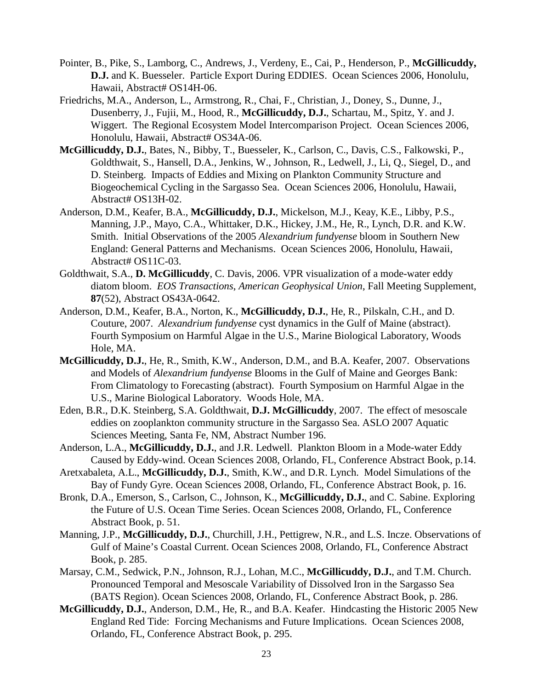- Pointer, B., Pike, S., Lamborg, C., Andrews, J., Verdeny, E., Cai, P., Henderson, P., **McGillicuddy, D.J.** and K. Buesseler. Particle Export During EDDIES. Ocean Sciences 2006, Honolulu, Hawaii, Abstract# OS14H-06.
- Friedrichs, M.A., Anderson, L., Armstrong, R., Chai, F., Christian, J., Doney, S., Dunne, J., Dusenberry, J., Fujii, M., Hood, R., **McGillicuddy, D.J.**, Schartau, M., Spitz, Y. and J. Wiggert. The Regional Ecosystem Model Intercomparison Project. Ocean Sciences 2006, Honolulu, Hawaii, Abstract# OS34A-06.
- **McGillicuddy, D.J.**, Bates, N., Bibby, T., Buesseler, K., Carlson, C., Davis, C.S., Falkowski, P., Goldthwait, S., Hansell, D.A., Jenkins, W., Johnson, R., Ledwell, J., Li, Q., Siegel, D., and D. Steinberg. Impacts of Eddies and Mixing on Plankton Community Structure and Biogeochemical Cycling in the Sargasso Sea. Ocean Sciences 2006, Honolulu, Hawaii, Abstract# OS13H-02.
- Anderson, D.M., Keafer, B.A., **McGillicuddy, D.J.**, Mickelson, M.J., Keay, K.E., Libby, P.S., Manning, J.P., Mayo, C.A., Whittaker, D.K., Hickey, J.M., He, R., Lynch, D.R. and K.W. Smith. Initial Observations of the 2005 *Alexandrium fundyense* bloom in Southern New England: General Patterns and Mechanisms. Ocean Sciences 2006, Honolulu, Hawaii, Abstract# OS11C-03.
- Goldthwait, S.A., **D. McGillicuddy**, C. Davis, 2006. VPR visualization of a mode-water eddy diatom bloom. *EOS Transactions*, *American Geophysical Union*, Fall Meeting Supplement, **87**(52), Abstract OS43A-0642.
- Anderson, D.M., Keafer, B.A., Norton, K., **McGillicuddy, D.J.**, He, R., Pilskaln, C.H., and D. Couture, 2007. *Alexandrium fundyense* cyst dynamics in the Gulf of Maine (abstract). Fourth Symposium on Harmful Algae in the U.S., Marine Biological Laboratory, Woods Hole, MA.
- **McGillicuddy, D.J.**, He, R., Smith, K.W., Anderson, D.M., and B.A. Keafer, 2007. Observations and Models of *Alexandrium fundyense* Blooms in the Gulf of Maine and Georges Bank: From Climatology to Forecasting (abstract). Fourth Symposium on Harmful Algae in the U.S., Marine Biological Laboratory. Woods Hole, MA.
- Eden, B.R., D.K. Steinberg, S.A. Goldthwait, **D.J. McGillicuddy**, 2007. The effect of mesoscale eddies on zooplankton community structure in the Sargasso Sea. ASLO 2007 Aquatic Sciences Meeting, Santa Fe, NM, Abstract Number 196.
- Anderson, L.A., **McGillicuddy, D.J.**, and J.R. Ledwell. Plankton Bloom in a Mode-water Eddy Caused by Eddy-wind. Ocean Sciences 2008, Orlando, FL, Conference Abstract Book, p.14.
- Aretxabaleta, A.L., **McGillicuddy, D.J.**, Smith, K.W., and D.R. Lynch. Model Simulations of the Bay of Fundy Gyre. Ocean Sciences 2008, Orlando, FL, Conference Abstract Book, p. 16.
- Bronk, D.A., Emerson, S., Carlson, C., Johnson, K., **McGillicuddy, D.J.**, and C. Sabine. Exploring the Future of U.S. Ocean Time Series. Ocean Sciences 2008, Orlando, FL, Conference Abstract Book, p. 51.
- Manning, J.P., **McGillicuddy, D.J.**, Churchill, J.H., Pettigrew, N.R., and L.S. Incze. Observations of Gulf of Maine's Coastal Current. Ocean Sciences 2008, Orlando, FL, Conference Abstract Book, p. 285.
- Marsay, C.M., Sedwick, P.N., Johnson, R.J., Lohan, M.C., **McGillicuddy, D.J.**, and T.M. Church. Pronounced Temporal and Mesoscale Variability of Dissolved Iron in the Sargasso Sea (BATS Region). Ocean Sciences 2008, Orlando, FL, Conference Abstract Book, p. 286.
- **McGillicuddy, D.J.**, Anderson, D.M., He, R., and B.A. Keafer. Hindcasting the Historic 2005 New England Red Tide: Forcing Mechanisms and Future Implications. Ocean Sciences 2008, Orlando, FL, Conference Abstract Book, p. 295.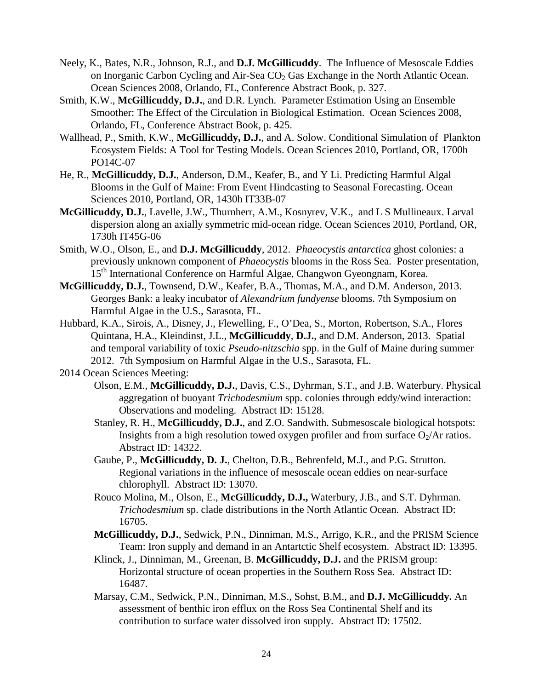- Neely, K., Bates, N.R., Johnson, R.J., and **D.J. McGillicuddy**. The Influence of Mesoscale Eddies on Inorganic Carbon Cycling and Air-Sea  $CO<sub>2</sub>$  Gas Exchange in the North Atlantic Ocean. Ocean Sciences 2008, Orlando, FL, Conference Abstract Book, p. 327.
- Smith, K.W., **McGillicuddy, D.J.**, and D.R. Lynch. Parameter Estimation Using an Ensemble Smoother: The Effect of the Circulation in Biological Estimation. Ocean Sciences 2008, Orlando, FL, Conference Abstract Book, p. 425.
- Wallhead, P., Smith, K.W., **McGillicuddy, D.J.**, and A. Solow. Conditional Simulation of Plankton Ecosystem Fields: A Tool for Testing Models. Ocean Sciences 2010, Portland, OR, 1700h PO14C-07
- He, R., **McGillicuddy, D.J.**, Anderson, D.M., Keafer, B., and Y Li. Predicting Harmful Algal Blooms in the Gulf of Maine: From Event Hindcasting to Seasonal Forecasting. Ocean Sciences 2010, Portland, OR, 1430h IT33B-07
- **McGillicuddy, D.J.**, Lavelle, J.W., Thurnherr, A.M., Kosnyrev, V.K., and L S Mullineaux. Larval dispersion along an axially symmetric mid-ocean ridge. Ocean Sciences 2010, Portland, OR, 1730h IT45G-06
- Smith, W.O., Olson, E., and **D.J. McGillicuddy**, 2012. *Phaeocystis antarctica* ghost colonies: a previously unknown component of *Phaeocystis* blooms in the Ross Sea. Poster presentation, 15<sup>th</sup> International Conference on Harmful Algae, Changwon Gyeongnam, Korea.
- **McGillicuddy, D.J.**, Townsend, D.W., Keafer, B.A., Thomas, M.A., and D.M. Anderson, 2013. Georges Bank: a leaky incubator of *Alexandrium fundyense* blooms. 7th Symposium on Harmful Algae in the U.S., Sarasota, FL.
- Hubbard, K.A., Sirois, A., Disney, J., Flewelling, F., O'Dea, S., Morton, Robertson, S.A., Flores Quintana, H.A., Kleindinst, J.L., **McGillicuddy**, **D.J.**, and D.M. Anderson, 2013. Spatial and temporal variability of toxic *Pseudo-nitzschia* spp. in the Gulf of Maine during summer 2012. 7th Symposium on Harmful Algae in the U.S., Sarasota, FL.
- 2014 Ocean Sciences Meeting:
	- Olson, E.M., **McGillicuddy, D.J.**, Davis, C.S., Dyhrman, S.T., and J.B. Waterbury. Physical aggregation of buoyant *Trichodesmium* spp. colonies through eddy/wind interaction: Observations and modeling. Abstract ID: 15128.
	- Stanley, R. H., **McGillicuddy, D.J.**, and Z.O. Sandwith. Submesoscale biological hotspots: Insights from a high resolution towed oxygen profiler and from surface  $O_2/Ar$  ratios. Abstract ID: 14322.
	- Gaube, P., **McGillicuddy, D. J.**, Chelton, D.B., Behrenfeld, M.J., and P.G. Strutton. Regional variations in the influence of mesoscale ocean eddies on near-surface chlorophyll. Abstract ID: 13070.
	- Rouco Molina, M., Olson, E., **McGillicuddy, D.J.,** Waterbury, J.B., and S.T. Dyhrman. *Trichodesmium* sp. clade distributions in the North Atlantic Ocean. Abstract ID: 16705.
	- **McGillicuddy, D.J.**, Sedwick, P.N., Dinniman, M.S., Arrigo, K.R., and the PRISM Science Team: Iron supply and demand in an Antartctic Shelf ecosystem. Abstract ID: 13395.
	- Klinck, J., Dinniman, M., Greenan, B. **McGillicuddy, D.J.** and the PRISM group: Horizontal structure of ocean properties in the Southern Ross Sea. Abstract ID: 16487.
	- Marsay, C.M., Sedwick, P.N., Dinniman, M.S., Sohst, B.M., and **D.J. McGillicuddy.** An assessment of benthic iron efflux on the Ross Sea Continental Shelf and its contribution to surface water dissolved iron supply. Abstract ID: 17502.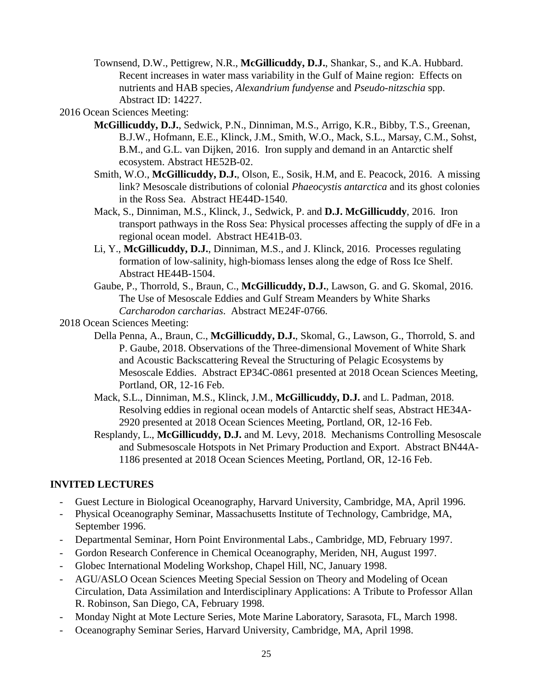- Townsend, D.W., Pettigrew, N.R., **McGillicuddy, D.J.**, Shankar, S., and K.A. Hubbard. Recent increases in water mass variability in the Gulf of Maine region: Effects on nutrients and HAB species, *Alexandrium fundyense* and *Pseudo-nitzschia* spp. Abstract ID: 14227.
- 2016 Ocean Sciences Meeting:
	- **McGillicuddy, D.J.**, Sedwick, P.N., Dinniman, M.S., Arrigo, K.R., Bibby, T.S., Greenan, B.J.W., Hofmann, E.E., Klinck, J.M., Smith, W.O., Mack, S.L., Marsay, C.M., Sohst, B.M., and G.L. van Dijken, 2016. Iron supply and demand in an Antarctic shelf ecosystem. Abstract HE52B-02.
	- Smith, W.O., **McGillicuddy, D.J.**, Olson, E., Sosik, H.M, and E. Peacock, 2016. A missing link? Mesoscale distributions of colonial *Phaeocystis antarctica* and its ghost colonies in the Ross Sea. Abstract HE44D-1540.
	- Mack, S., Dinniman, M.S., Klinck, J., Sedwick, P. and **D.J. McGillicuddy**, 2016. Iron transport pathways in the Ross Sea: Physical processes affecting the supply of dFe in a regional ocean model. Abstract HE41B-03.
	- Li, Y., **McGillicuddy, D.J.**, Dinniman, M.S., and J. Klinck, 2016. Processes regulating formation of low-salinity, high-biomass lenses along the edge of Ross Ice Shelf. Abstract HE44B-1504.
	- Gaube, P., Thorrold, S., Braun, C., **McGillicuddy, D.J.**, Lawson, G. and G. Skomal, 2016. The Use of Mesoscale Eddies and Gulf Stream Meanders by White Sharks *Carcharodon carcharias*. Abstract ME24F-0766.

2018 Ocean Sciences Meeting:

- Della Penna, A., Braun, C., **McGillicuddy, D.J.**, Skomal, G., Lawson, G., Thorrold, S. and P. Gaube, 2018. Observations of the Three-dimensional Movement of White Shark and Acoustic Backscattering Reveal the Structuring of Pelagic Ecosystems by Mesoscale Eddies. Abstract EP34C-0861 presented at 2018 Ocean Sciences Meeting, Portland, OR, 12-16 Feb.
- Mack, S.L., Dinniman, M.S., Klinck, J.M., **McGillicuddy, D.J.** and L. Padman, 2018. Resolving eddies in regional ocean models of Antarctic shelf seas, Abstract HE34A-2920 presented at 2018 Ocean Sciences Meeting, Portland, OR, 12-16 Feb.
- Resplandy, L., **McGillicuddy, D.J.** and M. Levy, 2018. Mechanisms Controlling Mesoscale and Submesoscale Hotspots in Net Primary Production and Export. Abstract BN44A-1186 presented at 2018 Ocean Sciences Meeting, Portland, OR, 12-16 Feb.

# **INVITED LECTURES**

- Guest Lecture in Biological Oceanography, Harvard University, Cambridge, MA, April 1996.
- Physical Oceanography Seminar, Massachusetts Institute of Technology, Cambridge, MA, September 1996.
- Departmental Seminar, Horn Point Environmental Labs., Cambridge, MD, February 1997.
- Gordon Research Conference in Chemical Oceanography, Meriden, NH, August 1997.
- Globec International Modeling Workshop, Chapel Hill, NC, January 1998.
- AGU/ASLO Ocean Sciences Meeting Special Session on Theory and Modeling of Ocean Circulation, Data Assimilation and Interdisciplinary Applications: A Tribute to Professor Allan R. Robinson, San Diego, CA, February 1998.
- Monday Night at Mote Lecture Series, Mote Marine Laboratory, Sarasota, FL, March 1998.
- Oceanography Seminar Series, Harvard University, Cambridge, MA, April 1998.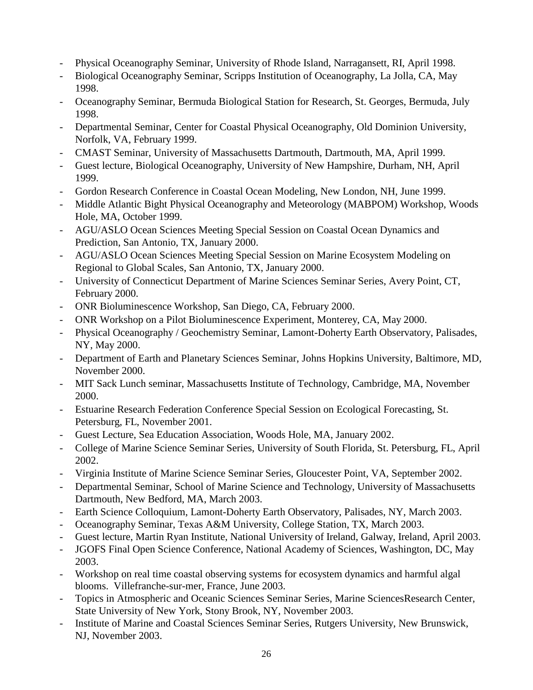- Physical Oceanography Seminar, University of Rhode Island, Narragansett, RI, April 1998.
- Biological Oceanography Seminar, Scripps Institution of Oceanography, La Jolla, CA, May 1998.
- Oceanography Seminar, Bermuda Biological Station for Research, St. Georges, Bermuda, July 1998.
- Departmental Seminar, Center for Coastal Physical Oceanography, Old Dominion University, Norfolk, VA, February 1999.
- CMAST Seminar, University of Massachusetts Dartmouth, Dartmouth, MA, April 1999.
- Guest lecture, Biological Oceanography, University of New Hampshire, Durham, NH, April 1999.
- Gordon Research Conference in Coastal Ocean Modeling, New London, NH, June 1999.
- Middle Atlantic Bight Physical Oceanography and Meteorology (MABPOM) Workshop, Woods Hole, MA, October 1999.
- AGU/ASLO Ocean Sciences Meeting Special Session on Coastal Ocean Dynamics and Prediction, San Antonio, TX, January 2000.
- AGU/ASLO Ocean Sciences Meeting Special Session on Marine Ecosystem Modeling on Regional to Global Scales, San Antonio, TX, January 2000.
- University of Connecticut Department of Marine Sciences Seminar Series, Avery Point, CT, February 2000.
- ONR Bioluminescence Workshop, San Diego, CA, February 2000.
- ONR Workshop on a Pilot Bioluminescence Experiment, Monterey, CA, May 2000.
- Physical Oceanography / Geochemistry Seminar, Lamont-Doherty Earth Observatory, Palisades, NY, May 2000.
- Department of Earth and Planetary Sciences Seminar, Johns Hopkins University, Baltimore, MD, November 2000.
- MIT Sack Lunch seminar, Massachusetts Institute of Technology, Cambridge, MA, November 2000.
- Estuarine Research Federation Conference Special Session on Ecological Forecasting, St. Petersburg, FL, November 2001.
- Guest Lecture, Sea Education Association, Woods Hole, MA, January 2002.
- College of Marine Science Seminar Series, University of South Florida, St. Petersburg, FL, April 2002.
- Virginia Institute of Marine Science Seminar Series, Gloucester Point, VA, September 2002.
- Departmental Seminar, School of Marine Science and Technology, University of Massachusetts Dartmouth, New Bedford, MA, March 2003.
- Earth Science Colloquium, Lamont-Doherty Earth Observatory, Palisades, NY, March 2003.
- Oceanography Seminar, Texas A&M University, College Station, TX, March 2003.
- Guest lecture, Martin Ryan Institute, National University of Ireland, Galway, Ireland, April 2003.
- JGOFS Final Open Science Conference, National Academy of Sciences, Washington, DC, May 2003.
- Workshop on real time coastal observing systems for ecosystem dynamics and harmful algal blooms. Villefranche-sur-mer, France, June 2003.
- Topics in Atmospheric and Oceanic Sciences Seminar Series, Marine SciencesResearch Center, State University of New York, Stony Brook, NY, November 2003.
- Institute of Marine and Coastal Sciences Seminar Series, Rutgers University, New Brunswick, NJ, November 2003.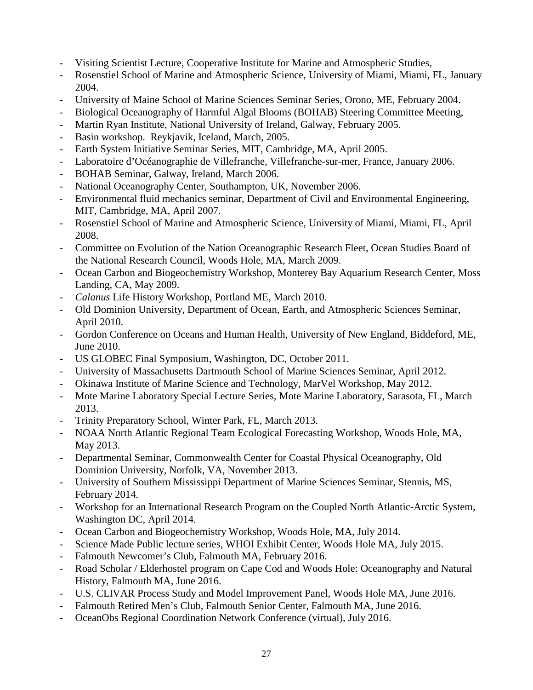- Visiting Scientist Lecture, Cooperative Institute for Marine and Atmospheric Studies,
- Rosenstiel School of Marine and Atmospheric Science, University of Miami, Miami, FL, January 2004.
- University of Maine School of Marine Sciences Seminar Series, Orono, ME, February 2004.
- Biological Oceanography of Harmful Algal Blooms (BOHAB) Steering Committee Meeting,
- Martin Ryan Institute, National University of Ireland, Galway, February 2005.
- Basin workshop. Reykjavik, Iceland, March, 2005.
- Earth System Initiative Seminar Series, MIT, Cambridge, MA, April 2005.
- Laboratoire d'Océanographie de Villefranche, Villefranche-sur-mer, France, January 2006.
- BOHAB Seminar, Galway, Ireland, March 2006.
- National Oceanography Center, Southampton, UK, November 2006.
- Environmental fluid mechanics seminar, Department of Civil and Environmental Engineering, MIT, Cambridge, MA, April 2007.
- Rosenstiel School of Marine and Atmospheric Science, University of Miami, Miami, FL, April 2008.
- Committee on Evolution of the Nation Oceanographic Research Fleet, Ocean Studies Board of the National Research Council, Woods Hole, MA, March 2009.
- Ocean Carbon and Biogeochemistry Workshop, Monterey Bay Aquarium Research Center, Moss Landing, CA, May 2009.
- *Calanus* Life History Workshop, Portland ME, March 2010.
- Old Dominion University, Department of Ocean, Earth, and Atmospheric Sciences Seminar, April 2010.
- Gordon Conference on Oceans and Human Health, University of New England, Biddeford, ME, June 2010.
- US GLOBEC Final Symposium, Washington, DC, October 2011.
- University of Massachusetts Dartmouth School of Marine Sciences Seminar, April 2012.
- Okinawa Institute of Marine Science and Technology, MarVel Workshop, May 2012.
- Mote Marine Laboratory Special Lecture Series, Mote Marine Laboratory, Sarasota, FL, March 2013.
- Trinity Preparatory School, Winter Park, FL, March 2013.
- NOAA North Atlantic Regional Team Ecological Forecasting Workshop, Woods Hole, MA, May 2013.
- Departmental Seminar, Commonwealth Center for Coastal Physical Oceanography, Old Dominion University, Norfolk, VA, November 2013.
- University of Southern Mississippi Department of Marine Sciences Seminar, Stennis, MS, February 2014.
- Workshop for an International Research Program on the Coupled North Atlantic-Arctic System, Washington DC, April 2014.
- Ocean Carbon and Biogeochemistry Workshop, Woods Hole, MA, July 2014.
- Science Made Public lecture series, WHOI Exhibit Center, Woods Hole MA, July 2015.
- Falmouth Newcomer's Club, Falmouth MA, February 2016.
- Road Scholar / Elderhostel program on Cape Cod and Woods Hole: Oceanography and Natural History, Falmouth MA, June 2016.
- U.S. CLIVAR Process Study and Model Improvement Panel, Woods Hole MA, June 2016.
- Falmouth Retired Men's Club, Falmouth Senior Center, Falmouth MA, June 2016.
- OceanObs Regional Coordination Network Conference (virtual), July 2016.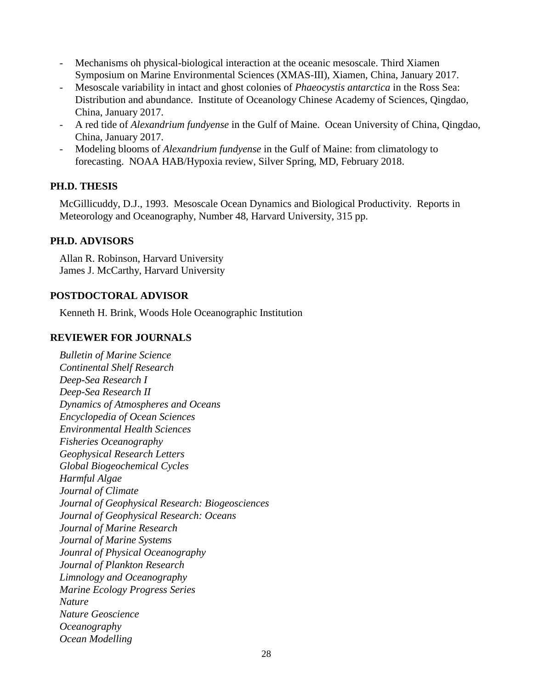- Mechanisms oh physical-biological interaction at the oceanic mesoscale. Third Xiamen Symposium on Marine Environmental Sciences (XMAS-III), Xiamen, China, January 2017.
- Mesoscale variability in intact and ghost colonies of *Phaeocystis antarctica* in the Ross Sea: Distribution and abundance. Institute of Oceanology Chinese Academy of Sciences, Qingdao, China, January 2017.
- A red tide of *Alexandrium fundyense* in the Gulf of Maine. Ocean University of China, Qingdao, China, January 2017.
- Modeling blooms of *Alexandrium fundyense* in the Gulf of Maine: from climatology to forecasting. NOAA HAB/Hypoxia review, Silver Spring, MD, February 2018.

# **PH.D. THESIS**

McGillicuddy, D.J., 1993. Mesoscale Ocean Dynamics and Biological Productivity. Reports in Meteorology and Oceanography, Number 48, Harvard University, 315 pp.

# **PH.D. ADVISORS**

Allan R. Robinson, Harvard University James J. McCarthy, Harvard University

# **POSTDOCTORAL ADVISOR**

Kenneth H. Brink, Woods Hole Oceanographic Institution

# **REVIEWER FOR JOURNALS**

*Bulletin of Marine Science Continental Shelf Research Deep-Sea Research I Deep-Sea Research II Dynamics of Atmospheres and Oceans Encyclopedia of Ocean Sciences Environmental Health Sciences Fisheries Oceanography Geophysical Research Letters Global Biogeochemical Cycles Harmful Algae Journal of Climate Journal of Geophysical Research: Biogeosciences Journal of Geophysical Research: Oceans Journal of Marine Research Journal of Marine Systems Jounral of Physical Oceanography Journal of Plankton Research Limnology and Oceanography Marine Ecology Progress Series Nature Nature Geoscience Oceanography Ocean Modelling*